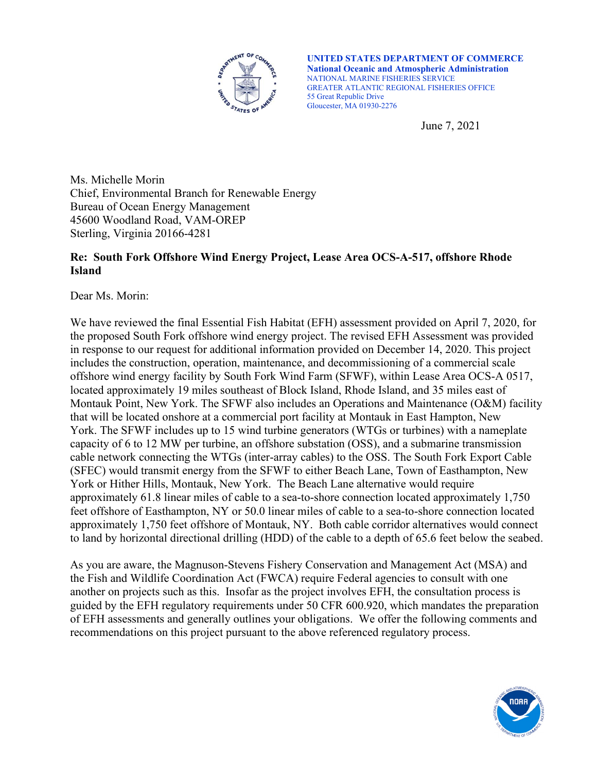

**UNITED STATES DEPARTMENT OF COMMERCE National Oceanic and Atmospheric Administration** NATIONAL MARINE FISHERIES SERVICE GREATER ATLANTIC REGIONAL FISHERIES OFFICE 55 Great Republic Drive Gloucester, MA 01930-2276

June 7, 2021

Ms. Michelle Morin Chief, Environmental Branch for Renewable Energy Bureau of Ocean Energy Management 45600 Woodland Road, VAM-OREP Sterling, Virginia 20166-4281

# **Re: South Fork Offshore Wind Energy Project, Lease Area OCS-A-517, offshore Rhode Island**

Dear Ms. Morin:

We have reviewed the final Essential Fish Habitat (EFH) assessment provided on April 7, 2020, for the proposed South Fork offshore wind energy project. The revised EFH Assessment was provided in response to our request for additional information provided on December 14, 2020. This project includes the construction, operation, maintenance, and decommissioning of a commercial scale offshore wind energy facility by South Fork Wind Farm (SFWF), within Lease Area OCS-A 0517, located approximately 19 miles southeast of Block Island, Rhode Island, and 35 miles east of Montauk Point, New York. The SFWF also includes an Operations and Maintenance (O&M) facility that will be located onshore at a commercial port facility at Montauk in East Hampton, New York. The SFWF includes up to 15 wind turbine generators (WTGs or turbines) with a nameplate capacity of 6 to 12 MW per turbine, an offshore substation (OSS), and a submarine transmission cable network connecting the WTGs (inter-array cables) to the OSS. The South Fork Export Cable (SFEC) would transmit energy from the SFWF to either Beach Lane, Town of Easthampton, New York or Hither Hills, Montauk, New York. The Beach Lane alternative would require approximately 61.8 linear miles of cable to a sea-to-shore connection located approximately 1,750 feet offshore of Easthampton, NY or 50.0 linear miles of cable to a sea-to-shore connection located approximately 1,750 feet offshore of Montauk, NY. Both cable corridor alternatives would connect to land by horizontal directional drilling (HDD) of the cable to a depth of 65.6 feet below the seabed.

As you are aware, the Magnuson-Stevens Fishery Conservation and Management Act (MSA) and the Fish and Wildlife Coordination Act (FWCA) require Federal agencies to consult with one another on projects such as this. Insofar as the project involves EFH, the consultation process is guided by the EFH regulatory requirements under 50 CFR 600.920, which mandates the preparation of EFH assessments and generally outlines your obligations. We offer the following comments and recommendations on this project pursuant to the above referenced regulatory process.

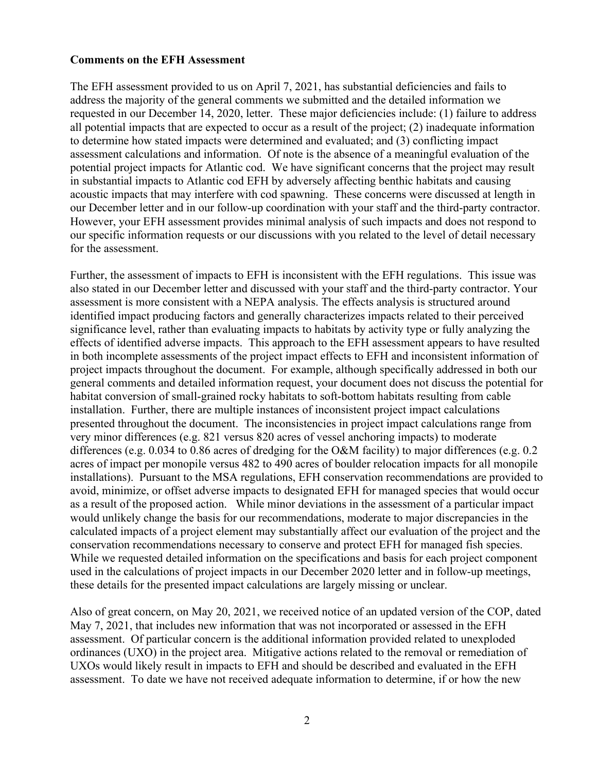### **Comments on the EFH Assessment**

The EFH assessment provided to us on April 7, 2021, has substantial deficiencies and fails to address the majority of the general comments we submitted and the detailed information we requested in our December 14, 2020, letter. These major deficiencies include: (1) failure to address all potential impacts that are expected to occur as a result of the project; (2) inadequate information to determine how stated impacts were determined and evaluated; and (3) conflicting impact assessment calculations and information. Of note is the absence of a meaningful evaluation of the potential project impacts for Atlantic cod. We have significant concerns that the project may result in substantial impacts to Atlantic cod EFH by adversely affecting benthic habitats and causing acoustic impacts that may interfere with cod spawning. These concerns were discussed at length in our December letter and in our follow-up coordination with your staff and the third-party contractor. However, your EFH assessment provides minimal analysis of such impacts and does not respond to our specific information requests or our discussions with you related to the level of detail necessary for the assessment.

Further, the assessment of impacts to EFH is inconsistent with the EFH regulations. This issue was also stated in our December letter and discussed with your staff and the third-party contractor. Your assessment is more consistent with a NEPA analysis. The effects analysis is structured around identified impact producing factors and generally characterizes impacts related to their perceived significance level, rather than evaluating impacts to habitats by activity type or fully analyzing the effects of identified adverse impacts. This approach to the EFH assessment appears to have resulted in both incomplete assessments of the project impact effects to EFH and inconsistent information of project impacts throughout the document. For example, although specifically addressed in both our general comments and detailed information request, your document does not discuss the potential for habitat conversion of small-grained rocky habitats to soft-bottom habitats resulting from cable installation. Further, there are multiple instances of inconsistent project impact calculations presented throughout the document. The inconsistencies in project impact calculations range from very minor differences (e.g. 821 versus 820 acres of vessel anchoring impacts) to moderate differences (e.g. 0.034 to 0.86 acres of dredging for the O&M facility) to major differences (e.g. 0.2 acres of impact per monopile versus 482 to 490 acres of boulder relocation impacts for all monopile installations). Pursuant to the MSA regulations, EFH conservation recommendations are provided to avoid, minimize, or offset adverse impacts to designated EFH for managed species that would occur as a result of the proposed action. While minor deviations in the assessment of a particular impact would unlikely change the basis for our recommendations, moderate to major discrepancies in the calculated impacts of a project element may substantially affect our evaluation of the project and the conservation recommendations necessary to conserve and protect EFH for managed fish species. While we requested detailed information on the specifications and basis for each project component used in the calculations of project impacts in our December 2020 letter and in follow-up meetings, these details for the presented impact calculations are largely missing or unclear.

Also of great concern, on May 20, 2021, we received notice of an updated version of the COP, dated May 7, 2021, that includes new information that was not incorporated or assessed in the EFH assessment. Of particular concern is the additional information provided related to unexploded ordinances (UXO) in the project area. Mitigative actions related to the removal or remediation of UXOs would likely result in impacts to EFH and should be described and evaluated in the EFH assessment. To date we have not received adequate information to determine, if or how the new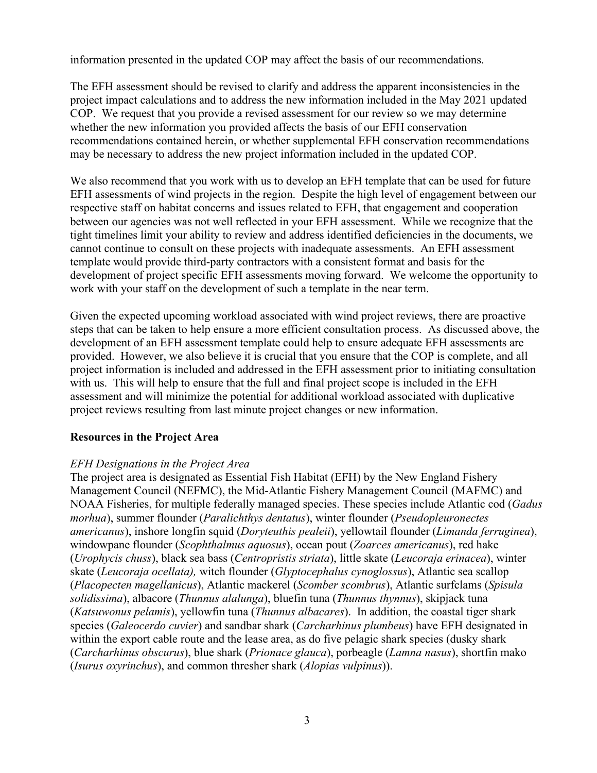information presented in the updated COP may affect the basis of our recommendations.

The EFH assessment should be revised to clarify and address the apparent inconsistencies in the project impact calculations and to address the new information included in the May 2021 updated COP. We request that you provide a revised assessment for our review so we may determine whether the new information you provided affects the basis of our EFH conservation recommendations contained herein, or whether supplemental EFH conservation recommendations may be necessary to address the new project information included in the updated COP.

We also recommend that you work with us to develop an EFH template that can be used for future EFH assessments of wind projects in the region. Despite the high level of engagement between our respective staff on habitat concerns and issues related to EFH, that engagement and cooperation between our agencies was not well reflected in your EFH assessment. While we recognize that the tight timelines limit your ability to review and address identified deficiencies in the documents, we cannot continue to consult on these projects with inadequate assessments. An EFH assessment template would provide third-party contractors with a consistent format and basis for the development of project specific EFH assessments moving forward. We welcome the opportunity to work with your staff on the development of such a template in the near term.

Given the expected upcoming workload associated with wind project reviews, there are proactive steps that can be taken to help ensure a more efficient consultation process. As discussed above, the development of an EFH assessment template could help to ensure adequate EFH assessments are provided. However, we also believe it is crucial that you ensure that the COP is complete, and all project information is included and addressed in the EFH assessment prior to initiating consultation with us. This will help to ensure that the full and final project scope is included in the EFH assessment and will minimize the potential for additional workload associated with duplicative project reviews resulting from last minute project changes or new information.

## **Resources in the Project Area**

## *EFH Designations in the Project Area*

The project area is designated as Essential Fish Habitat (EFH) by the New England Fishery Management Council (NEFMC), the Mid-Atlantic Fishery Management Council (MAFMC) and NOAA Fisheries, for multiple federally managed species. These species include Atlantic cod (*Gadus morhua*), summer flounder (*Paralichthys dentatus*), winter flounder (*Pseudopleuronectes americanus*), inshore longfin squid (*Doryteuthis pealeii*), yellowtail flounder (*Limanda ferruginea*), windowpane flounder (*Scophthalmus aquosus*), ocean pout (*Zoarces americanus*), red hake (*Urophycis chuss*), black sea bass (*Centropristis striata*), little skate (*Leucoraja erinacea*), winter skate (*Leucoraja ocellata),* witch flounder (*Glyptocephalus cynoglossus*), Atlantic sea scallop (*Placopecten magellanicus*), Atlantic mackerel (*Scomber scombrus*), Atlantic surfclams (*Spisula solidissima*), albacore (*Thunnus alalunga*), bluefin tuna (*Thunnus thynnus*), skipjack tuna (*Katsuwonus pelamis*), yellowfin tuna (*Thunnus albacares*). In addition, the coastal tiger shark species (*Galeocerdo cuvier*) and sandbar shark (*Carcharhinus plumbeus*) have EFH designated in within the export cable route and the lease area, as do five pelagic shark species (dusky shark (*Carcharhinus obscurus*), blue shark (*Prionace glauca*), porbeagle (*Lamna nasus*), shortfin mako (*Isurus oxyrinchus*), and common thresher shark (*Alopias vulpinus*)).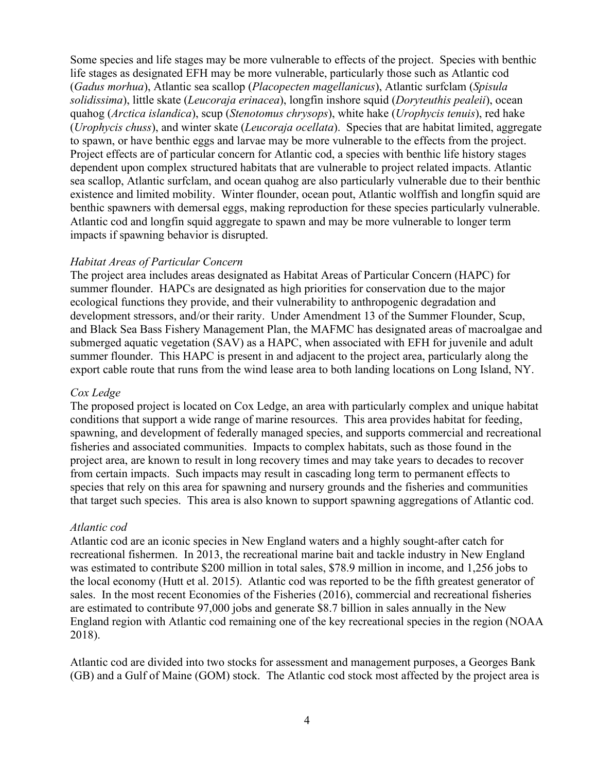Some species and life stages may be more vulnerable to effects of the project. Species with benthic life stages as designated EFH may be more vulnerable, particularly those such as Atlantic cod (*Gadus morhua*), Atlantic sea scallop (*Placopecten magellanicus*), Atlantic surfclam (*Spisula solidissima*), little skate (*Leucoraja erinacea*), longfin inshore squid (*Doryteuthis pealeii*), ocean quahog (*Arctica islandica*), scup (*Stenotomus chrysops*), white hake (*Urophycis tenuis*), red hake (*Urophycis chuss*), and winter skate (*Leucoraja ocellata*). Species that are habitat limited, aggregate to spawn, or have benthic eggs and larvae may be more vulnerable to the effects from the project. Project effects are of particular concern for Atlantic cod, a species with benthic life history stages dependent upon complex structured habitats that are vulnerable to project related impacts. Atlantic sea scallop, Atlantic surfclam, and ocean quahog are also particularly vulnerable due to their benthic existence and limited mobility. Winter flounder, ocean pout, Atlantic wolffish and longfin squid are benthic spawners with demersal eggs, making reproduction for these species particularly vulnerable. Atlantic cod and longfin squid aggregate to spawn and may be more vulnerable to longer term impacts if spawning behavior is disrupted.

### *Habitat Areas of Particular Concern*

The project area includes areas designated as Habitat Areas of Particular Concern (HAPC) for summer flounder. HAPCs are designated as high priorities for conservation due to the major ecological functions they provide, and their vulnerability to anthropogenic degradation and development stressors, and/or their rarity. Under Amendment 13 of the Summer Flounder, Scup, and Black Sea Bass Fishery Management Plan, the MAFMC has designated areas of macroalgae and submerged aquatic vegetation (SAV) as a HAPC, when associated with EFH for juvenile and adult summer flounder. This HAPC is present in and adjacent to the project area, particularly along the export cable route that runs from the wind lease area to both landing locations on Long Island, NY.

### *Cox Ledge*

The proposed project is located on Cox Ledge, an area with particularly complex and unique habitat conditions that support a wide range of marine resources. This area provides habitat for feeding, spawning, and development of federally managed species, and supports commercial and recreational fisheries and associated communities. Impacts to complex habitats, such as those found in the project area, are known to result in long recovery times and may take years to decades to recover from certain impacts. Such impacts may result in cascading long term to permanent effects to species that rely on this area for spawning and nursery grounds and the fisheries and communities that target such species. This area is also known to support spawning aggregations of Atlantic cod.

### *Atlantic cod*

Atlantic cod are an iconic species in New England waters and a highly sought-after catch for recreational fishermen. In 2013, the recreational marine bait and tackle industry in New England was estimated to contribute \$200 million in total sales, \$78.9 million in income, and 1,256 jobs to the local economy (Hutt et al. 2015). Atlantic cod was reported to be the fifth greatest generator of sales. In the most recent Economies of the Fisheries (2016), commercial and recreational fisheries are estimated to contribute 97,000 jobs and generate \$8.7 billion in sales annually in the New England region with Atlantic cod remaining one of the key recreational species in the region (NOAA 2018).

Atlantic cod are divided into two stocks for assessment and management purposes, a Georges Bank (GB) and a Gulf of Maine (GOM) stock. The Atlantic cod stock most affected by the project area is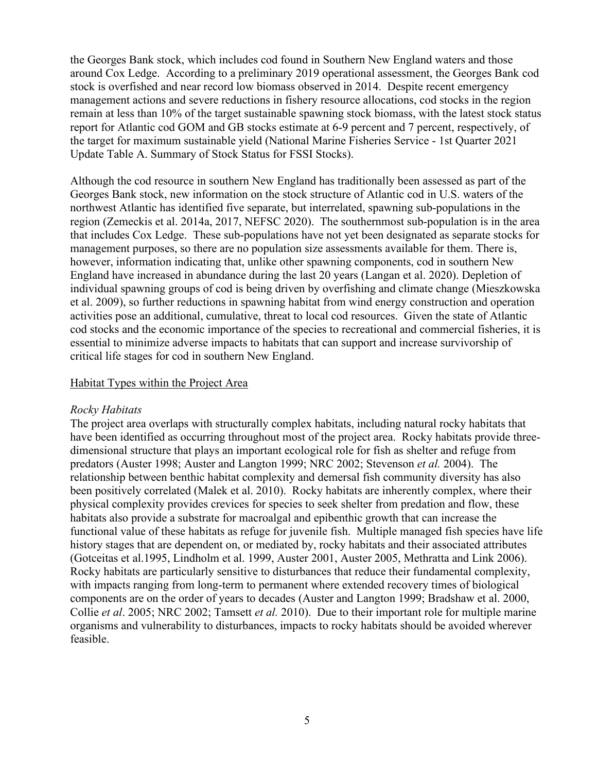the Georges Bank stock, which includes cod found in Southern New England waters and those around Cox Ledge. According to a preliminary 2019 operational assessment, the Georges Bank cod stock is overfished and near record low biomass observed in 2014. Despite recent emergency management actions and severe reductions in fishery resource allocations, cod stocks in the region remain at less than 10% of the target sustainable spawning stock biomass, with the latest stock status report for Atlantic cod GOM and GB stocks estimate at 6-9 percent and 7 percent, respectively, of the target for maximum sustainable yield (National Marine Fisheries Service - 1st Quarter 2021 Update Table A. Summary of Stock Status for FSSI Stocks).

Although the cod resource in southern New England has traditionally been assessed as part of the Georges Bank stock, new information on the stock structure of Atlantic cod in U.S. waters of the northwest Atlantic has identified five separate, but interrelated, spawning sub-populations in the region (Zemeckis et al. 2014a, 2017, NEFSC 2020). The southernmost sub-population is in the area that includes Cox Ledge. These sub-populations have not yet been designated as separate stocks for management purposes, so there are no population size assessments available for them. There is, however, information indicating that, unlike other spawning components, cod in southern New England have increased in abundance during the last 20 years (Langan et al. 2020). Depletion of individual spawning groups of cod is being driven by overfishing and climate change (Mieszkowska et al. 2009), so further reductions in spawning habitat from wind energy construction and operation activities pose an additional, cumulative, threat to local cod resources. Given the state of Atlantic cod stocks and the economic importance of the species to recreational and commercial fisheries, it is essential to minimize adverse impacts to habitats that can support and increase survivorship of critical life stages for cod in southern New England.

## Habitat Types within the Project Area

### *Rocky Habitats*

The project area overlaps with structurally complex habitats, including natural rocky habitats that have been identified as occurring throughout most of the project area. Rocky habitats provide threedimensional structure that plays an important ecological role for fish as shelter and refuge from predators (Auster 1998; Auster and Langton 1999; NRC 2002; Stevenson *et al.* 2004). The relationship between benthic habitat complexity and demersal fish community diversity has also been positively correlated (Malek et al. 2010). Rocky habitats are inherently complex, where their physical complexity provides crevices for species to seek shelter from predation and flow, these habitats also provide a substrate for macroalgal and epibenthic growth that can increase the functional value of these habitats as refuge for juvenile fish. Multiple managed fish species have life history stages that are dependent on, or mediated by, rocky habitats and their associated attributes (Gotceitas et al.1995, Lindholm et al. 1999, Auster 2001, Auster 2005, Methratta and Link 2006). Rocky habitats are particularly sensitive to disturbances that reduce their fundamental complexity, with impacts ranging from long-term to permanent where extended recovery times of biological components are on the order of years to decades (Auster and Langton 1999; Bradshaw et al. 2000, Collie *et al*. 2005; NRC 2002; Tamsett *et al.* 2010). Due to their important role for multiple marine organisms and vulnerability to disturbances, impacts to rocky habitats should be avoided wherever feasible.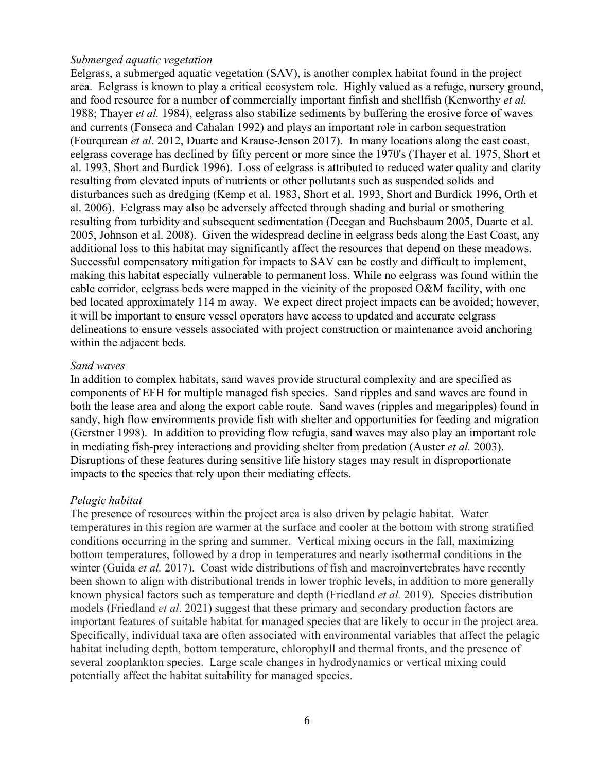### *Submerged aquatic vegetation*

Eelgrass, a submerged aquatic vegetation (SAV), is another complex habitat found in the project area. Eelgrass is known to play a critical ecosystem role. Highly valued as a refuge, nursery ground, and food resource for a number of commercially important finfish and shellfish (Kenworthy *et al.*  1988; Thayer *et al.* 1984), eelgrass also stabilize sediments by buffering the erosive force of waves and currents (Fonseca and Cahalan 1992) and plays an important role in carbon sequestration (Fourqurean *et al*. 2012, Duarte and Krause-Jenson 2017). In many locations along the east coast, eelgrass coverage has declined by fifty percent or more since the 1970's (Thayer et al. 1975, Short et al. 1993, Short and Burdick 1996). Loss of eelgrass is attributed to reduced water quality and clarity resulting from elevated inputs of nutrients or other pollutants such as suspended solids and disturbances such as dredging (Kemp et al. 1983, Short et al. 1993, Short and Burdick 1996, Orth et al. 2006). Eelgrass may also be adversely affected through shading and burial or smothering resulting from turbidity and subsequent sedimentation (Deegan and Buchsbaum 2005, Duarte et al. 2005, Johnson et al. 2008). Given the widespread decline in eelgrass beds along the East Coast, any additional loss to this habitat may significantly affect the resources that depend on these meadows. Successful compensatory mitigation for impacts to SAV can be costly and difficult to implement, making this habitat especially vulnerable to permanent loss. While no eelgrass was found within the cable corridor, eelgrass beds were mapped in the vicinity of the proposed O&M facility, with one bed located approximately 114 m away. We expect direct project impacts can be avoided; however, it will be important to ensure vessel operators have access to updated and accurate eelgrass delineations to ensure vessels associated with project construction or maintenance avoid anchoring within the adjacent beds.

### *Sand waves*

In addition to complex habitats, sand waves provide structural complexity and are specified as components of EFH for multiple managed fish species. Sand ripples and sand waves are found in both the lease area and along the export cable route. Sand waves (ripples and megaripples) found in sandy, high flow environments provide fish with shelter and opportunities for feeding and migration (Gerstner 1998). In addition to providing flow refugia, sand waves may also play an important role in mediating fish-prey interactions and providing shelter from predation (Auster *et al.* 2003). Disruptions of these features during sensitive life history stages may result in disproportionate impacts to the species that rely upon their mediating effects.

### *Pelagic habitat*

The presence of resources within the project area is also driven by pelagic habitat. Water temperatures in this region are warmer at the surface and cooler at the bottom with strong stratified conditions occurring in the spring and summer. Vertical mixing occurs in the fall, maximizing bottom temperatures, followed by a drop in temperatures and nearly isothermal conditions in the winter (Guida *et al.* 2017). Coast wide distributions of fish and macroinvertebrates have recently been shown to align with distributional trends in lower trophic levels, in addition to more generally known physical factors such as temperature and depth (Friedland *et al.* 2019). Species distribution models (Friedland *et al*. 2021) suggest that these primary and secondary production factors are important features of suitable habitat for managed species that are likely to occur in the project area. Specifically, individual taxa are often associated with environmental variables that affect the pelagic habitat including depth, bottom temperature, chlorophyll and thermal fronts, and the presence of several zooplankton species. Large scale changes in hydrodynamics or vertical mixing could potentially affect the habitat suitability for managed species.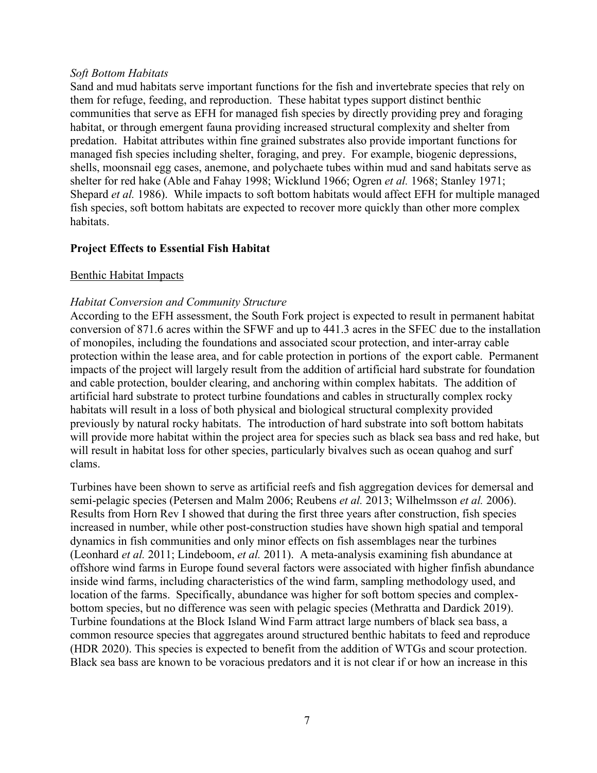## *Soft Bottom Habitats*

Sand and mud habitats serve important functions for the fish and invertebrate species that rely on them for refuge, feeding, and reproduction. These habitat types support distinct benthic communities that serve as EFH for managed fish species by directly providing prey and foraging habitat, or through emergent fauna providing increased structural complexity and shelter from predation. Habitat attributes within fine grained substrates also provide important functions for managed fish species including shelter, foraging, and prey. For example, biogenic depressions, shells, moonsnail egg cases, anemone, and polychaete tubes within mud and sand habitats serve as shelter for red hake (Able and Fahay 1998; Wicklund 1966; Ogren *et al.* 1968; Stanley 1971; Shepard *et al.* 1986). While impacts to soft bottom habitats would affect EFH for multiple managed fish species, soft bottom habitats are expected to recover more quickly than other more complex habitats.

## **Project Effects to Essential Fish Habitat**

## Benthic Habitat Impacts

## *Habitat Conversion and Community Structure*

According to the EFH assessment, the South Fork project is expected to result in permanent habitat conversion of 871.6 acres within the SFWF and up to 441.3 acres in the SFEC due to the installation of monopiles, including the foundations and associated scour protection, and inter-array cable protection within the lease area, and for cable protection in portions of the export cable. Permanent impacts of the project will largely result from the addition of artificial hard substrate for foundation and cable protection, boulder clearing, and anchoring within complex habitats. The addition of artificial hard substrate to protect turbine foundations and cables in structurally complex rocky habitats will result in a loss of both physical and biological structural complexity provided previously by natural rocky habitats. The introduction of hard substrate into soft bottom habitats will provide more habitat within the project area for species such as black sea bass and red hake, but will result in habitat loss for other species, particularly bivalves such as ocean quahog and surf clams.

Turbines have been shown to serve as artificial reefs and fish aggregation devices for demersal and semi-pelagic species (Petersen and Malm 2006; Reubens *et al.* 2013; Wilhelmsson *et al.* 2006). Results from Horn Rev I showed that during the first three years after construction, fish species increased in number, while other post-construction studies have shown high spatial and temporal dynamics in fish communities and only minor effects on fish assemblages near the turbines (Leonhard *et al.* 2011; Lindeboom, *et al.* 2011). A meta-analysis examining fish abundance at offshore wind farms in Europe found several factors were associated with higher finfish abundance inside wind farms, including characteristics of the wind farm, sampling methodology used, and location of the farms. Specifically, abundance was higher for soft bottom species and complexbottom species, but no difference was seen with pelagic species (Methratta and Dardick 2019). Turbine foundations at the Block Island Wind Farm attract large numbers of black sea bass, a common resource species that aggregates around structured benthic habitats to feed and reproduce (HDR 2020). This species is expected to benefit from the addition of WTGs and scour protection. Black sea bass are known to be voracious predators and it is not clear if or how an increase in this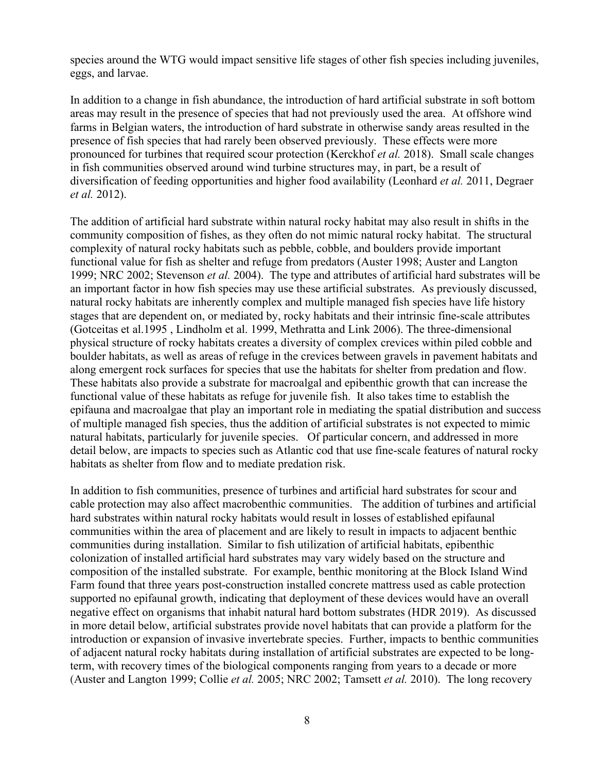species around the WTG would impact sensitive life stages of other fish species including juveniles, eggs, and larvae.

In addition to a change in fish abundance, the introduction of hard artificial substrate in soft bottom areas may result in the presence of species that had not previously used the area. At offshore wind farms in Belgian waters, the introduction of hard substrate in otherwise sandy areas resulted in the presence of fish species that had rarely been observed previously. These effects were more pronounced for turbines that required scour protection (Kerckhof *et al.* 2018). Small scale changes in fish communities observed around wind turbine structures may, in part, be a result of diversification of feeding opportunities and higher food availability (Leonhard *et al.* 2011, Degraer *et al.* 2012).

The addition of artificial hard substrate within natural rocky habitat may also result in shifts in the community composition of fishes, as they often do not mimic natural rocky habitat. The structural complexity of natural rocky habitats such as pebble, cobble, and boulders provide important functional value for fish as shelter and refuge from predators (Auster 1998; Auster and Langton 1999; NRC 2002; Stevenson *et al.* 2004). The type and attributes of artificial hard substrates will be an important factor in how fish species may use these artificial substrates. As previously discussed, natural rocky habitats are inherently complex and multiple managed fish species have life history stages that are dependent on, or mediated by, rocky habitats and their intrinsic fine-scale attributes (Gotceitas et al.1995 , Lindholm et al. 1999, Methratta and Link 2006). The three-dimensional physical structure of rocky habitats creates a diversity of complex crevices within piled cobble and boulder habitats, as well as areas of refuge in the crevices between gravels in pavement habitats and along emergent rock surfaces for species that use the habitats for shelter from predation and flow. These habitats also provide a substrate for macroalgal and epibenthic growth that can increase the functional value of these habitats as refuge for juvenile fish. It also takes time to establish the epifauna and macroalgae that play an important role in mediating the spatial distribution and success of multiple managed fish species, thus the addition of artificial substrates is not expected to mimic natural habitats, particularly for juvenile species. Of particular concern, and addressed in more detail below, are impacts to species such as Atlantic cod that use fine-scale features of natural rocky habitats as shelter from flow and to mediate predation risk.

In addition to fish communities, presence of turbines and artificial hard substrates for scour and cable protection may also affect macrobenthic communities. The addition of turbines and artificial hard substrates within natural rocky habitats would result in losses of established epifaunal communities within the area of placement and are likely to result in impacts to adjacent benthic communities during installation. Similar to fish utilization of artificial habitats, epibenthic colonization of installed artificial hard substrates may vary widely based on the structure and composition of the installed substrate. For example, benthic monitoring at the Block Island Wind Farm found that three years post-construction installed concrete mattress used as cable protection supported no epifaunal growth, indicating that deployment of these devices would have an overall negative effect on organisms that inhabit natural hard bottom substrates (HDR 2019). As discussed in more detail below, artificial substrates provide novel habitats that can provide a platform for the introduction or expansion of invasive invertebrate species. Further, impacts to benthic communities of adjacent natural rocky habitats during installation of artificial substrates are expected to be longterm, with recovery times of the biological components ranging from years to a decade or more (Auster and Langton 1999; Collie *et al.* 2005; NRC 2002; Tamsett *et al.* 2010). The long recovery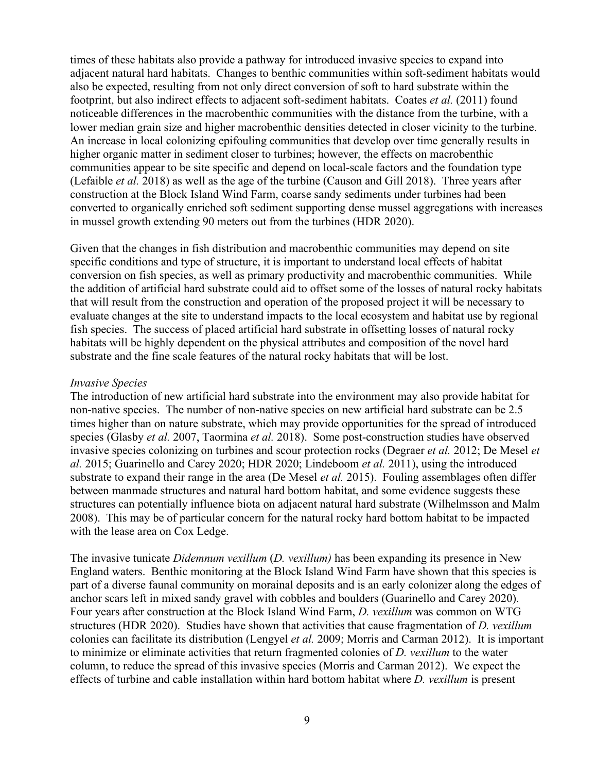times of these habitats also provide a pathway for introduced invasive species to expand into adjacent natural hard habitats. Changes to benthic communities within soft-sediment habitats would also be expected, resulting from not only direct conversion of soft to hard substrate within the footprint, but also indirect effects to adjacent soft-sediment habitats. Coates *et al.* (2011) found noticeable differences in the macrobenthic communities with the distance from the turbine, with a lower median grain size and higher macrobenthic densities detected in closer vicinity to the turbine. An increase in local colonizing epifouling communities that develop over time generally results in higher organic matter in sediment closer to turbines; however, the effects on macrobenthic communities appear to be site specific and depend on local-scale factors and the foundation type (Lefaible *et al.* 2018) as well as the age of the turbine (Causon and Gill 2018). Three years after construction at the Block Island Wind Farm, coarse sandy sediments under turbines had been converted to organically enriched soft sediment supporting dense mussel aggregations with increases in mussel growth extending 90 meters out from the turbines (HDR 2020).

Given that the changes in fish distribution and macrobenthic communities may depend on site specific conditions and type of structure, it is important to understand local effects of habitat conversion on fish species, as well as primary productivity and macrobenthic communities. While the addition of artificial hard substrate could aid to offset some of the losses of natural rocky habitats that will result from the construction and operation of the proposed project it will be necessary to evaluate changes at the site to understand impacts to the local ecosystem and habitat use by regional fish species. The success of placed artificial hard substrate in offsetting losses of natural rocky habitats will be highly dependent on the physical attributes and composition of the novel hard substrate and the fine scale features of the natural rocky habitats that will be lost.

### *Invasive Species*

The introduction of new artificial hard substrate into the environment may also provide habitat for non-native species. The number of non-native species on new artificial hard substrate can be 2.5 times higher than on nature substrate, which may provide opportunities for the spread of introduced species (Glasby *et al.* 2007, Taormina *et al.* 2018). Some post-construction studies have observed invasive species colonizing on turbines and scour protection rocks (Degraer *et al.* 2012; De Mesel *et al.* 2015; Guarinello and Carey 2020; HDR 2020; Lindeboom *et al.* 2011), using the introduced substrate to expand their range in the area (De Mesel *et al.* 2015). Fouling assemblages often differ between manmade structures and natural hard bottom habitat, and some evidence suggests these structures can potentially influence biota on adjacent natural hard substrate (Wilhelmsson and Malm 2008). This may be of particular concern for the natural rocky hard bottom habitat to be impacted with the lease area on Cox Ledge.

The invasive tunicate *Didemnum vexillum* (*D. vexillum)* has been expanding its presence in New England waters. Benthic monitoring at the Block Island Wind Farm have shown that this species is part of a diverse faunal community on morainal deposits and is an early colonizer along the edges of anchor scars left in mixed sandy gravel with cobbles and boulders (Guarinello and Carey 2020). Four years after construction at the Block Island Wind Farm, *D. vexillum* was common on WTG structures (HDR 2020). Studies have shown that activities that cause fragmentation of *D. vexillum*  colonies can facilitate its distribution (Lengyel *et al.* 2009; Morris and Carman 2012). It is important to minimize or eliminate activities that return fragmented colonies of *D. vexillum* to the water column, to reduce the spread of this invasive species (Morris and Carman 2012). We expect the effects of turbine and cable installation within hard bottom habitat where *D. vexillum* is present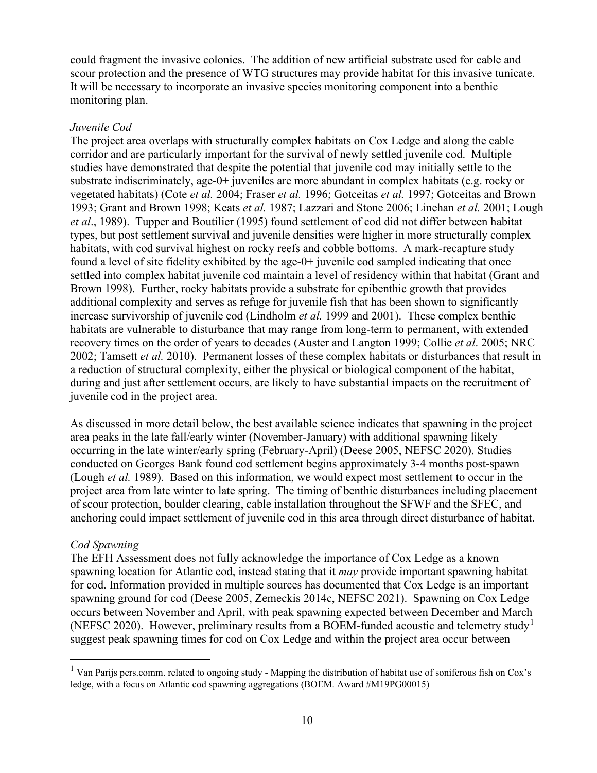could fragment the invasive colonies. The addition of new artificial substrate used for cable and scour protection and the presence of WTG structures may provide habitat for this invasive tunicate. It will be necessary to incorporate an invasive species monitoring component into a benthic monitoring plan.

### *Juvenile Cod*

The project area overlaps with structurally complex habitats on Cox Ledge and along the cable corridor and are particularly important for the survival of newly settled juvenile cod. Multiple studies have demonstrated that despite the potential that juvenile cod may initially settle to the substrate indiscriminately, age-0+ juveniles are more abundant in complex habitats (e.g. rocky or vegetated habitats) (Cote *et al.* 2004; Fraser *et al.* 1996; Gotceitas *et al.* 1997; Gotceitas and Brown 1993; Grant and Brown 1998; Keats *et al.* 1987; Lazzari and Stone 2006; Linehan *et al.* 2001; Lough *et al*., 1989). Tupper and Boutilier (1995) found settlement of cod did not differ between habitat types, but post settlement survival and juvenile densities were higher in more structurally complex habitats, with cod survival highest on rocky reefs and cobble bottoms. A mark-recapture study found a level of site fidelity exhibited by the age-0+ juvenile cod sampled indicating that once settled into complex habitat juvenile cod maintain a level of residency within that habitat (Grant and Brown 1998). Further, rocky habitats provide a substrate for epibenthic growth that provides additional complexity and serves as refuge for juvenile fish that has been shown to significantly increase survivorship of juvenile cod (Lindholm *et al.* 1999 and 2001). These complex benthic habitats are vulnerable to disturbance that may range from long-term to permanent, with extended recovery times on the order of years to decades (Auster and Langton 1999; Collie *et al*. 2005; NRC 2002; Tamsett *et al.* 2010). Permanent losses of these complex habitats or disturbances that result in a reduction of structural complexity, either the physical or biological component of the habitat, during and just after settlement occurs, are likely to have substantial impacts on the recruitment of juvenile cod in the project area.

As discussed in more detail below, the best available science indicates that spawning in the project area peaks in the late fall/early winter (November-January) with additional spawning likely occurring in the late winter/early spring (February-April) (Deese 2005, NEFSC 2020). Studies conducted on Georges Bank found cod settlement begins approximately 3-4 months post-spawn (Lough *et al.* 1989). Based on this information, we would expect most settlement to occur in the project area from late winter to late spring. The timing of benthic disturbances including placement of scour protection, boulder clearing, cable installation throughout the SFWF and the SFEC, and anchoring could impact settlement of juvenile cod in this area through direct disturbance of habitat.

## *Cod Spawning*

The EFH Assessment does not fully acknowledge the importance of Cox Ledge as a known spawning location for Atlantic cod, instead stating that it *may* provide important spawning habitat for cod. Information provided in multiple sources has documented that Cox Ledge is an important spawning ground for cod (Deese 2005, Zemeckis 2014c, NEFSC 2021). Spawning on Cox Ledge occurs between November and April, with peak spawning expected between December and March (NEFSC 2020). However, preliminary results from a BOEM-funded acoustic and telemetry study<sup>[1](#page-9-0)</sup> suggest peak spawning times for cod on Cox Ledge and within the project area occur between

<span id="page-9-0"></span> $<sup>1</sup>$  Van Parijs pers.comm. related to ongoing study - Mapping the distribution of habitat use of soniferous fish on Cox's</sup> ledge, with a focus on Atlantic cod spawning aggregations (BOEM. Award #M19PG00015)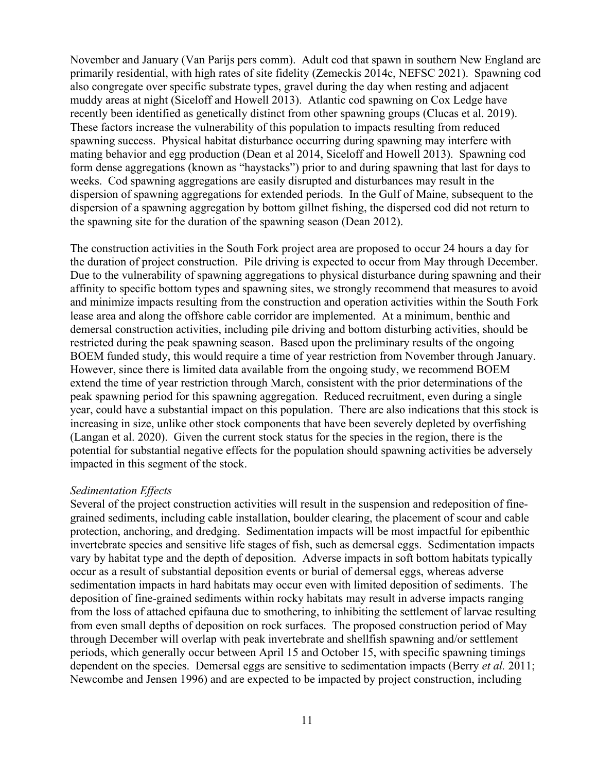November and January (Van Parijs pers comm). Adult cod that spawn in southern New England are primarily residential, with high rates of site fidelity (Zemeckis 2014c, NEFSC 2021). Spawning cod also congregate over specific substrate types, gravel during the day when resting and adjacent muddy areas at night (Siceloff and Howell 2013). Atlantic cod spawning on Cox Ledge have recently been identified as genetically distinct from other spawning groups (Clucas et al. 2019). These factors increase the vulnerability of this population to impacts resulting from reduced spawning success. Physical habitat disturbance occurring during spawning may interfere with mating behavior and egg production (Dean et al 2014, Siceloff and Howell 2013). Spawning cod form dense aggregations (known as "haystacks") prior to and during spawning that last for days to weeks. Cod spawning aggregations are easily disrupted and disturbances may result in the dispersion of spawning aggregations for extended periods. In the Gulf of Maine, subsequent to the dispersion of a spawning aggregation by bottom gillnet fishing, the dispersed cod did not return to the spawning site for the duration of the spawning season (Dean 2012).

The construction activities in the South Fork project area are proposed to occur 24 hours a day for the duration of project construction. Pile driving is expected to occur from May through December. Due to the vulnerability of spawning aggregations to physical disturbance during spawning and their affinity to specific bottom types and spawning sites, we strongly recommend that measures to avoid and minimize impacts resulting from the construction and operation activities within the South Fork lease area and along the offshore cable corridor are implemented. At a minimum, benthic and demersal construction activities, including pile driving and bottom disturbing activities, should be restricted during the peak spawning season. Based upon the preliminary results of the ongoing BOEM funded study, this would require a time of year restriction from November through January. However, since there is limited data available from the ongoing study, we recommend BOEM extend the time of year restriction through March, consistent with the prior determinations of the peak spawning period for this spawning aggregation. Reduced recruitment, even during a single year, could have a substantial impact on this population. There are also indications that this stock is increasing in size, unlike other stock components that have been severely depleted by overfishing (Langan et al. 2020). Given the current stock status for the species in the region, there is the potential for substantial negative effects for the population should spawning activities be adversely impacted in this segment of the stock.

### *Sedimentation Effects*

Several of the project construction activities will result in the suspension and redeposition of finegrained sediments, including cable installation, boulder clearing, the placement of scour and cable protection, anchoring, and dredging. Sedimentation impacts will be most impactful for epibenthic invertebrate species and sensitive life stages of fish, such as demersal eggs. Sedimentation impacts vary by habitat type and the depth of deposition. Adverse impacts in soft bottom habitats typically occur as a result of substantial deposition events or burial of demersal eggs, whereas adverse sedimentation impacts in hard habitats may occur even with limited deposition of sediments. The deposition of fine-grained sediments within rocky habitats may result in adverse impacts ranging from the loss of attached epifauna due to smothering, to inhibiting the settlement of larvae resulting from even small depths of deposition on rock surfaces. The proposed construction period of May through December will overlap with peak invertebrate and shellfish spawning and/or settlement periods, which generally occur between April 15 and October 15, with specific spawning timings dependent on the species. Demersal eggs are sensitive to sedimentation impacts (Berry *et al.* 2011; Newcombe and Jensen 1996) and are expected to be impacted by project construction, including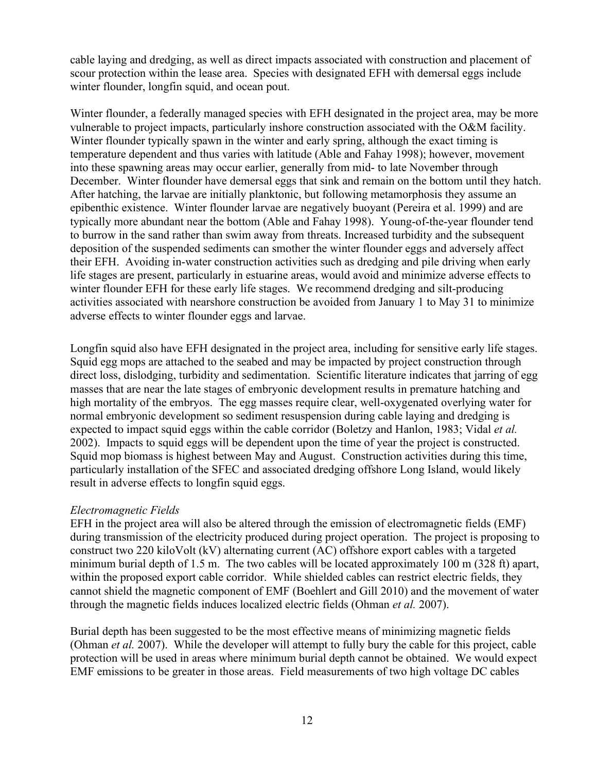cable laying and dredging, as well as direct impacts associated with construction and placement of scour protection within the lease area. Species with designated EFH with demersal eggs include winter flounder, longfin squid, and ocean pout.

Winter flounder, a federally managed species with EFH designated in the project area, may be more vulnerable to project impacts, particularly inshore construction associated with the O&M facility. Winter flounder typically spawn in the winter and early spring, although the exact timing is temperature dependent and thus varies with latitude (Able and Fahay 1998); however, movement into these spawning areas may occur earlier, generally from mid- to late November through December. Winter flounder have demersal eggs that sink and remain on the bottom until they hatch. After hatching, the larvae are initially planktonic, but following metamorphosis they assume an epibenthic existence. Winter flounder larvae are negatively buoyant (Pereira et al. 1999) and are typically more abundant near the bottom (Able and Fahay 1998). Young-of-the-year flounder tend to burrow in the sand rather than swim away from threats. Increased turbidity and the subsequent deposition of the suspended sediments can smother the winter flounder eggs and adversely affect their EFH. Avoiding in-water construction activities such as dredging and pile driving when early life stages are present, particularly in estuarine areas, would avoid and minimize adverse effects to winter flounder EFH for these early life stages. We recommend dredging and silt-producing activities associated with nearshore construction be avoided from January 1 to May 31 to minimize adverse effects to winter flounder eggs and larvae.

Longfin squid also have EFH designated in the project area, including for sensitive early life stages. Squid egg mops are attached to the seabed and may be impacted by project construction through direct loss, dislodging, turbidity and sedimentation. Scientific literature indicates that jarring of egg masses that are near the late stages of embryonic development results in premature hatching and high mortality of the embryos. The egg masses require clear, well-oxygenated overlying water for normal embryonic development so sediment resuspension during cable laying and dredging is expected to impact squid eggs within the cable corridor (Boletzy and Hanlon, 1983; Vidal *et al.*  2002). Impacts to squid eggs will be dependent upon the time of year the project is constructed. Squid mop biomass is highest between May and August. Construction activities during this time, particularly installation of the SFEC and associated dredging offshore Long Island, would likely result in adverse effects to longfin squid eggs.

## *Electromagnetic Fields*

EFH in the project area will also be altered through the emission of electromagnetic fields (EMF) during transmission of the electricity produced during project operation. The project is proposing to construct two 220 kiloVolt (kV) alternating current (AC) offshore export cables with a targeted minimum burial depth of 1.5 m. The two cables will be located approximately 100 m (328 ft) apart, within the proposed export cable corridor. While shielded cables can restrict electric fields, they cannot shield the magnetic component of EMF (Boehlert and Gill 2010) and the movement of water through the magnetic fields induces localized electric fields (Ohman *et al.* 2007).

Burial depth has been suggested to be the most effective means of minimizing magnetic fields (Ohman *et al.* 2007). While the developer will attempt to fully bury the cable for this project, cable protection will be used in areas where minimum burial depth cannot be obtained. We would expect EMF emissions to be greater in those areas. Field measurements of two high voltage DC cables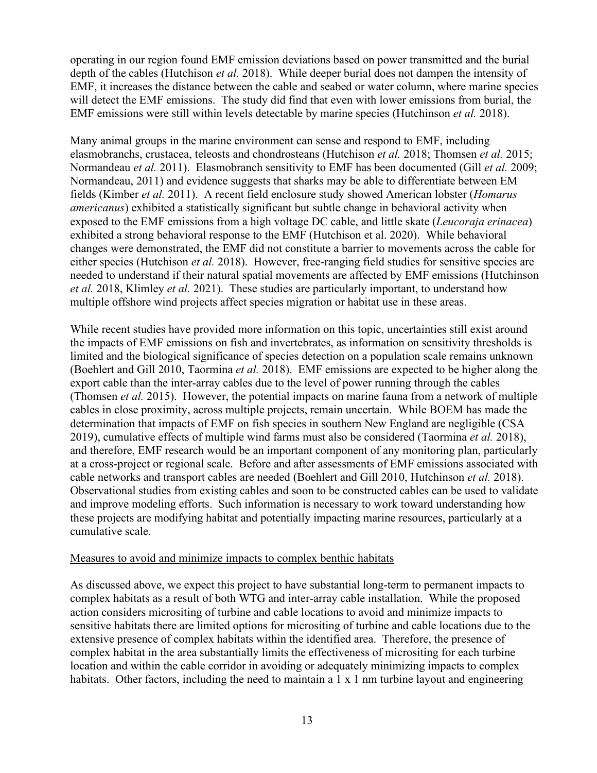operating in our region found EMF emission deviations based on power transmitted and the burial depth of the cables (Hutchison *et al.* 2018). While deeper burial does not dampen the intensity of EMF, it increases the distance between the cable and seabed or water column, where marine species will detect the EMF emissions. The study did find that even with lower emissions from burial, the EMF emissions were still within levels detectable by marine species (Hutchinson *et al.* 2018).

Many animal groups in the marine environment can sense and respond to EMF, including elasmobranchs, crustacea, teleosts and chondrosteans (Hutchison *et al.* 2018; Thomsen *et al.* 2015; Normandeau *et al.* 2011). Elasmobranch sensitivity to EMF has been documented (Gill *et al.* 2009; Normandeau, 2011) and evidence suggests that sharks may be able to differentiate between EM fields (Kimber *et al.* 2011). A recent field enclosure study showed American lobster (*Homarus americanus*) exhibited a statistically significant but subtle change in behavioral activity when exposed to the EMF emissions from a high voltage DC cable, and little skate (*Leucoraja erinacea*) exhibited a strong behavioral response to the EMF (Hutchison et al. 2020). While behavioral changes were demonstrated, the EMF did not constitute a barrier to movements across the cable for either species (Hutchison *et al.* 2018). However, free-ranging field studies for sensitive species are needed to understand if their natural spatial movements are affected by EMF emissions (Hutchinson *et al.* 2018, Klimley *et al.* 2021). These studies are particularly important, to understand how multiple offshore wind projects affect species migration or habitat use in these areas.

While recent studies have provided more information on this topic, uncertainties still exist around the impacts of EMF emissions on fish and invertebrates, as information on sensitivity thresholds is limited and the biological significance of species detection on a population scale remains unknown (Boehlert and Gill 2010, Taormina *et al.* 2018). EMF emissions are expected to be higher along the export cable than the inter-array cables due to the level of power running through the cables (Thomsen *et al.* 2015). However, the potential impacts on marine fauna from a network of multiple cables in close proximity, across multiple projects, remain uncertain. While BOEM has made the determination that impacts of EMF on fish species in southern New England are negligible (CSA 2019), cumulative effects of multiple wind farms must also be considered (Taormina *et al.* 2018), and therefore, EMF research would be an important component of any monitoring plan, particularly at a cross-project or regional scale. Before and after assessments of EMF emissions associated with cable networks and transport cables are needed (Boehlert and Gill 2010, Hutchinson *et al.* 2018). Observational studies from existing cables and soon to be constructed cables can be used to validate and improve modeling efforts. Such information is necessary to work toward understanding how these projects are modifying habitat and potentially impacting marine resources, particularly at a cumulative scale.

### Measures to avoid and minimize impacts to complex benthic habitats

As discussed above, we expect this project to have substantial long-term to permanent impacts to complex habitats as a result of both WTG and inter-array cable installation. While the proposed action considers micrositing of turbine and cable locations to avoid and minimize impacts to sensitive habitats there are limited options for micrositing of turbine and cable locations due to the extensive presence of complex habitats within the identified area. Therefore, the presence of complex habitat in the area substantially limits the effectiveness of micrositing for each turbine location and within the cable corridor in avoiding or adequately minimizing impacts to complex habitats. Other factors, including the need to maintain a  $1 \times 1$  nm turbine layout and engineering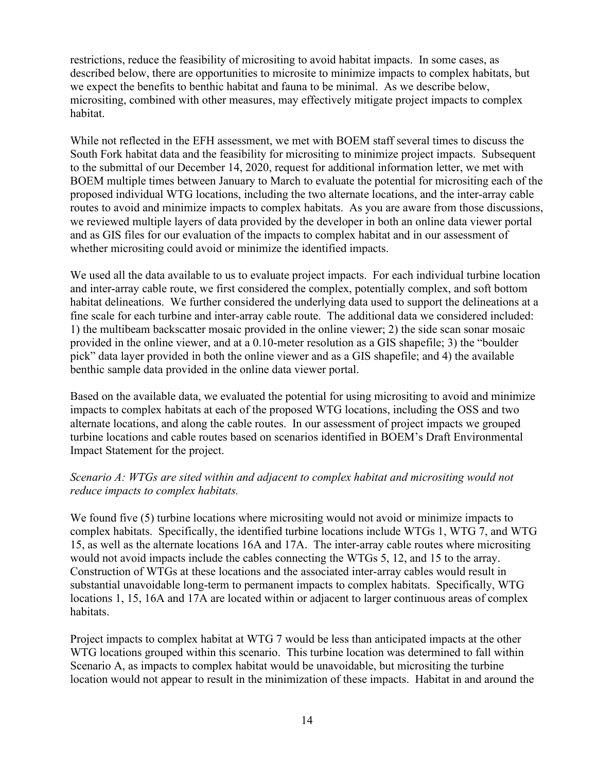restrictions, reduce the feasibility of micrositing to avoid habitat impacts. In some cases, as described below, there are opportunities to microsite to minimize impacts to complex habitats, but we expect the benefits to benthic habitat and fauna to be minimal. As we describe below, micrositing, combined with other measures, may effectively mitigate project impacts to complex habitat.

While not reflected in the EFH assessment, we met with BOEM staff several times to discuss the South Fork habitat data and the feasibility for micrositing to minimize project impacts. Subsequent to the submittal of our December 14, 2020, request for additional information letter, we met with BOEM multiple times between January to March to evaluate the potential for micrositing each of the proposed individual WTG locations, including the two alternate locations, and the inter-array cable routes to avoid and minimize impacts to complex habitats. As you are aware from those discussions, we reviewed multiple layers of data provided by the developer in both an online data viewer portal and as GIS files for our evaluation of the impacts to complex habitat and in our assessment of whether micrositing could avoid or minimize the identified impacts.

We used all the data available to us to evaluate project impacts. For each individual turbine location and inter-array cable route, we first considered the complex, potentially complex, and soft bottom habitat delineations. We further considered the underlying data used to support the delineations at a fine scale for each turbine and inter-array cable route. The additional data we considered included: 1) the multibeam backscatter mosaic provided in the online viewer; 2) the side scan sonar mosaic provided in the online viewer, and at a 0.10-meter resolution as a GIS shapefile; 3) the "boulder pick" data layer provided in both the online viewer and as a GIS shapefile; and 4) the available benthic sample data provided in the online data viewer portal.

Based on the available data, we evaluated the potential for using micrositing to avoid and minimize impacts to complex habitats at each of the proposed WTG locations, including the OSS and two alternate locations, and along the cable routes. In our assessment of project impacts we grouped turbine locations and cable routes based on scenarios identified in BOEM's Draft Environmental Impact Statement for the project.

# *Scenario A: WTGs are sited within and adjacent to complex habitat and micrositing would not reduce impacts to complex habitats.*

We found five (5) turbine locations where micrositing would not avoid or minimize impacts to complex habitats. Specifically, the identified turbine locations include WTGs 1, WTG 7, and WTG 15, as well as the alternate locations 16A and 17A. The inter-array cable routes where micrositing would not avoid impacts include the cables connecting the WTGs 5, 12, and 15 to the array. Construction of WTGs at these locations and the associated inter-array cables would result in substantial unavoidable long-term to permanent impacts to complex habitats. Specifically, WTG locations 1, 15, 16A and 17A are located within or adjacent to larger continuous areas of complex habitats.

Project impacts to complex habitat at WTG 7 would be less than anticipated impacts at the other WTG locations grouped within this scenario. This turbine location was determined to fall within Scenario A, as impacts to complex habitat would be unavoidable, but micrositing the turbine location would not appear to result in the minimization of these impacts. Habitat in and around the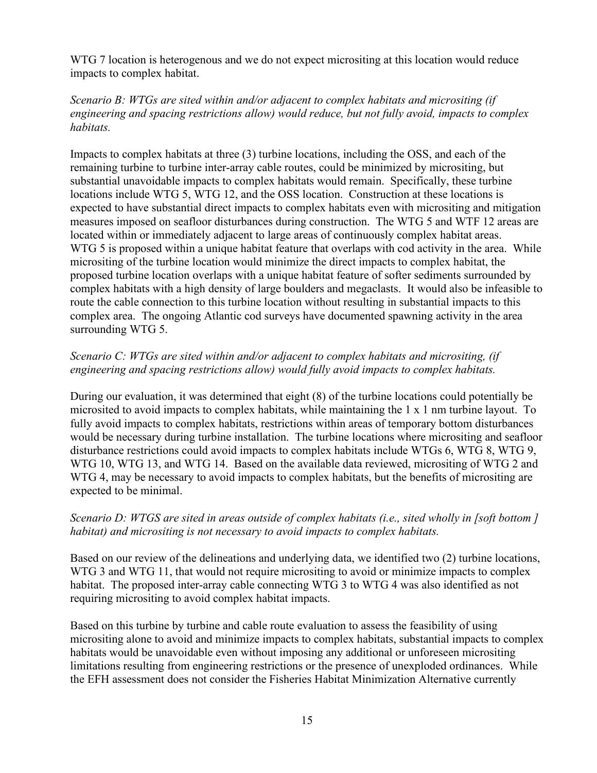WTG 7 location is heterogenous and we do not expect micrositing at this location would reduce impacts to complex habitat.

# *Scenario B: WTGs are sited within and/or adjacent to complex habitats and micrositing (if engineering and spacing restrictions allow) would reduce, but not fully avoid, impacts to complex habitats.*

Impacts to complex habitats at three (3) turbine locations, including the OSS, and each of the remaining turbine to turbine inter-array cable routes, could be minimized by micrositing, but substantial unavoidable impacts to complex habitats would remain. Specifically, these turbine locations include WTG 5, WTG 12, and the OSS location. Construction at these locations is expected to have substantial direct impacts to complex habitats even with micrositing and mitigation measures imposed on seafloor disturbances during construction. The WTG 5 and WTF 12 areas are located within or immediately adjacent to large areas of continuously complex habitat areas. WTG 5 is proposed within a unique habitat feature that overlaps with cod activity in the area. While micrositing of the turbine location would minimize the direct impacts to complex habitat, the proposed turbine location overlaps with a unique habitat feature of softer sediments surrounded by complex habitats with a high density of large boulders and megaclasts. It would also be infeasible to route the cable connection to this turbine location without resulting in substantial impacts to this complex area. The ongoing Atlantic cod surveys have documented spawning activity in the area surrounding WTG 5.

# *Scenario C: WTGs are sited within and/or adjacent to complex habitats and micrositing, (if engineering and spacing restrictions allow) would fully avoid impacts to complex habitats.*

During our evaluation, it was determined that eight (8) of the turbine locations could potentially be microsited to avoid impacts to complex habitats, while maintaining the 1 x 1 nm turbine layout. To fully avoid impacts to complex habitats, restrictions within areas of temporary bottom disturbances would be necessary during turbine installation. The turbine locations where micrositing and seafloor disturbance restrictions could avoid impacts to complex habitats include WTGs 6, WTG 8, WTG 9, WTG 10, WTG 13, and WTG 14. Based on the available data reviewed, micrositing of WTG 2 and WTG 4, may be necessary to avoid impacts to complex habitats, but the benefits of micrositing are expected to be minimal.

# *Scenario D: WTGS are sited in areas outside of complex habitats (i.e., sited wholly in [soft bottom ] habitat) and micrositing is not necessary to avoid impacts to complex habitats.*

Based on our review of the delineations and underlying data, we identified two (2) turbine locations, WTG 3 and WTG 11, that would not require micrositing to avoid or minimize impacts to complex habitat. The proposed inter-array cable connecting WTG 3 to WTG 4 was also identified as not requiring micrositing to avoid complex habitat impacts.

Based on this turbine by turbine and cable route evaluation to assess the feasibility of using micrositing alone to avoid and minimize impacts to complex habitats, substantial impacts to complex habitats would be unavoidable even without imposing any additional or unforeseen micrositing limitations resulting from engineering restrictions or the presence of unexploded ordinances. While the EFH assessment does not consider the Fisheries Habitat Minimization Alternative currently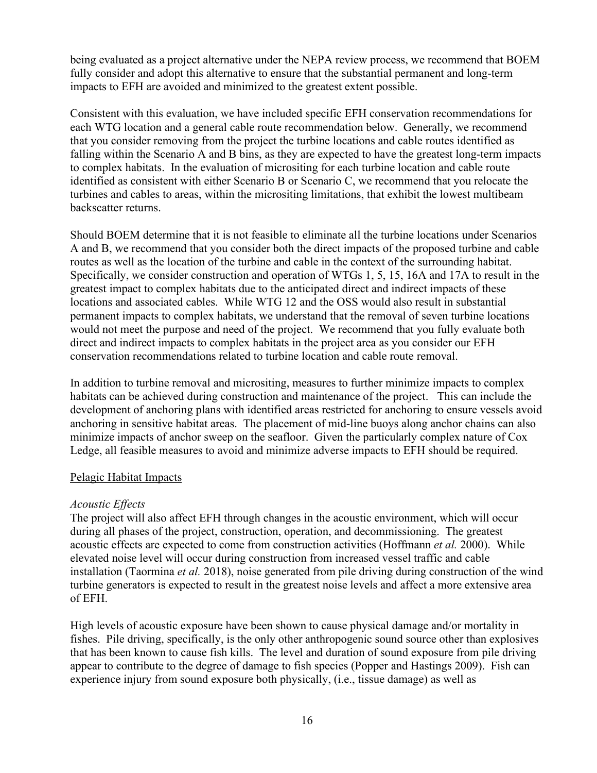being evaluated as a project alternative under the NEPA review process, we recommend that BOEM fully consider and adopt this alternative to ensure that the substantial permanent and long-term impacts to EFH are avoided and minimized to the greatest extent possible.

Consistent with this evaluation, we have included specific EFH conservation recommendations for each WTG location and a general cable route recommendation below. Generally, we recommend that you consider removing from the project the turbine locations and cable routes identified as falling within the Scenario A and B bins, as they are expected to have the greatest long-term impacts to complex habitats. In the evaluation of micrositing for each turbine location and cable route identified as consistent with either Scenario B or Scenario C, we recommend that you relocate the turbines and cables to areas, within the micrositing limitations, that exhibit the lowest multibeam backscatter returns.

Should BOEM determine that it is not feasible to eliminate all the turbine locations under Scenarios A and B, we recommend that you consider both the direct impacts of the proposed turbine and cable routes as well as the location of the turbine and cable in the context of the surrounding habitat. Specifically, we consider construction and operation of WTGs 1, 5, 15, 16A and 17A to result in the greatest impact to complex habitats due to the anticipated direct and indirect impacts of these locations and associated cables. While WTG 12 and the OSS would also result in substantial permanent impacts to complex habitats, we understand that the removal of seven turbine locations would not meet the purpose and need of the project. We recommend that you fully evaluate both direct and indirect impacts to complex habitats in the project area as you consider our EFH conservation recommendations related to turbine location and cable route removal.

In addition to turbine removal and micrositing, measures to further minimize impacts to complex habitats can be achieved during construction and maintenance of the project. This can include the development of anchoring plans with identified areas restricted for anchoring to ensure vessels avoid anchoring in sensitive habitat areas. The placement of mid-line buoys along anchor chains can also minimize impacts of anchor sweep on the seafloor. Given the particularly complex nature of Cox Ledge, all feasible measures to avoid and minimize adverse impacts to EFH should be required.

## Pelagic Habitat Impacts

## *Acoustic Effects*

The project will also affect EFH through changes in the acoustic environment, which will occur during all phases of the project, construction, operation, and decommissioning. The greatest acoustic effects are expected to come from construction activities (Hoffmann *et al.* 2000). While elevated noise level will occur during construction from increased vessel traffic and cable installation (Taormina *et al.* 2018), noise generated from pile driving during construction of the wind turbine generators is expected to result in the greatest noise levels and affect a more extensive area of EFH.

High levels of acoustic exposure have been shown to cause physical damage and/or mortality in fishes. Pile driving, specifically, is the only other anthropogenic sound source other than explosives that has been known to cause fish kills. The level and duration of sound exposure from pile driving appear to contribute to the degree of damage to fish species (Popper and Hastings 2009). Fish can experience injury from sound exposure both physically, (i.e., tissue damage) as well as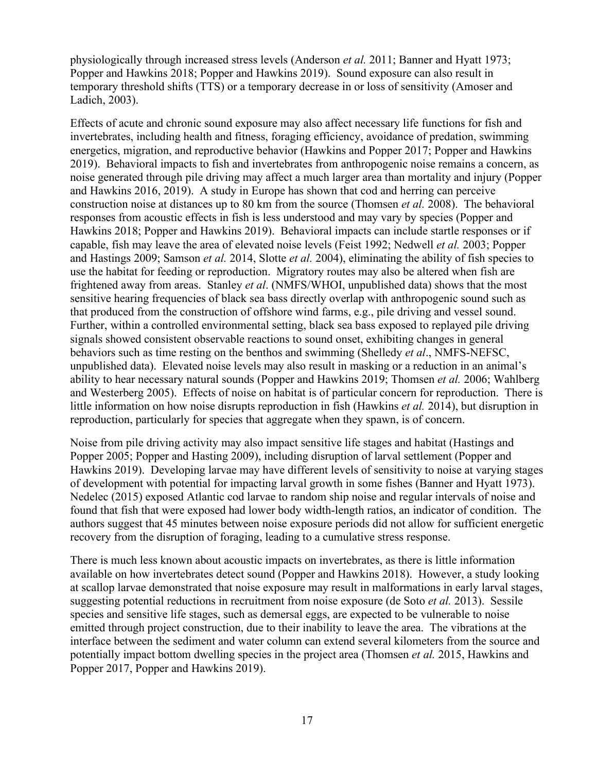physiologically through increased stress levels (Anderson *et al.* 2011; Banner and Hyatt 1973; Popper and Hawkins 2018; Popper and Hawkins 2019). Sound exposure can also result in temporary threshold shifts (TTS) or a temporary decrease in or loss of sensitivity (Amoser and Ladich, 2003).

Effects of acute and chronic sound exposure may also affect necessary life functions for fish and invertebrates, including health and fitness, foraging efficiency, avoidance of predation, swimming energetics, migration, and reproductive behavior (Hawkins and Popper 2017; Popper and Hawkins 2019). Behavioral impacts to fish and invertebrates from anthropogenic noise remains a concern, as noise generated through pile driving may affect a much larger area than mortality and injury (Popper and Hawkins 2016, 2019). A study in Europe has shown that cod and herring can perceive construction noise at distances up to 80 km from the source (Thomsen *et al.* 2008). The behavioral responses from acoustic effects in fish is less understood and may vary by species (Popper and Hawkins 2018; Popper and Hawkins 2019). Behavioral impacts can include startle responses or if capable, fish may leave the area of elevated noise levels (Feist 1992; Nedwell *et al.* 2003; Popper and Hastings 2009; Samson *et al.* 2014, Slotte *et al.* 2004), eliminating the ability of fish species to use the habitat for feeding or reproduction. Migratory routes may also be altered when fish are frightened away from areas. Stanley *et al*. (NMFS/WHOI, unpublished data) shows that the most sensitive hearing frequencies of black sea bass directly overlap with anthropogenic sound such as that produced from the construction of offshore wind farms, e.g., pile driving and vessel sound. Further, within a controlled environmental setting, black sea bass exposed to replayed pile driving signals showed consistent observable reactions to sound onset, exhibiting changes in general behaviors such as time resting on the benthos and swimming (Shelledy *et al*., NMFS-NEFSC, unpublished data). Elevated noise levels may also result in masking or a reduction in an animal's ability to hear necessary natural sounds (Popper and Hawkins 2019; Thomsen *et al.* 2006; Wahlberg and Westerberg 2005). Effects of noise on habitat is of particular concern for reproduction. There is little information on how noise disrupts reproduction in fish (Hawkins *et al.* 2014), but disruption in reproduction, particularly for species that aggregate when they spawn, is of concern.

Noise from pile driving activity may also impact sensitive life stages and habitat (Hastings and Popper 2005; Popper and Hasting 2009), including disruption of larval settlement (Popper and Hawkins 2019). Developing larvae may have different levels of sensitivity to noise at varying stages of development with potential for impacting larval growth in some fishes (Banner and Hyatt 1973). Nedelec (2015) exposed Atlantic cod larvae to random ship noise and regular intervals of noise and found that fish that were exposed had lower body width-length ratios, an indicator of condition. The authors suggest that 45 minutes between noise exposure periods did not allow for sufficient energetic recovery from the disruption of foraging, leading to a cumulative stress response.

There is much less known about acoustic impacts on invertebrates, as there is little information available on how invertebrates detect sound (Popper and Hawkins 2018). However, a study looking at scallop larvae demonstrated that noise exposure may result in malformations in early larval stages, suggesting potential reductions in recruitment from noise exposure (de Soto *et al.* 2013). Sessile species and sensitive life stages, such as demersal eggs, are expected to be vulnerable to noise emitted through project construction, due to their inability to leave the area. The vibrations at the interface between the sediment and water column can extend several kilometers from the source and potentially impact bottom dwelling species in the project area (Thomsen *et al.* 2015, Hawkins and Popper 2017, Popper and Hawkins 2019).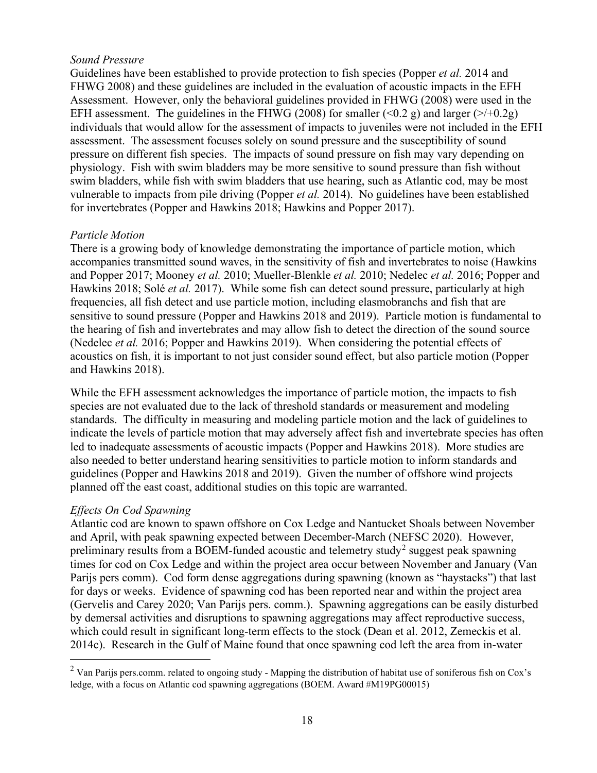## *Sound Pressure*

Guidelines have been established to provide protection to fish species (Popper *et al.* 2014 and FHWG 2008) and these guidelines are included in the evaluation of acoustic impacts in the EFH Assessment. However, only the behavioral guidelines provided in FHWG (2008) were used in the EFH assessment. The guidelines in the FHWG (2008) for smaller (<0.2 g) and larger (>/+0.2g) individuals that would allow for the assessment of impacts to juveniles were not included in the EFH assessment. The assessment focuses solely on sound pressure and the susceptibility of sound pressure on different fish species. The impacts of sound pressure on fish may vary depending on physiology. Fish with swim bladders may be more sensitive to sound pressure than fish without swim bladders, while fish with swim bladders that use hearing, such as Atlantic cod, may be most vulnerable to impacts from pile driving (Popper *et al.* 2014). No guidelines have been established for invertebrates (Popper and Hawkins 2018; Hawkins and Popper 2017).

## *Particle Motion*

There is a growing body of knowledge demonstrating the importance of particle motion, which accompanies transmitted sound waves, in the sensitivity of fish and invertebrates to noise (Hawkins and Popper 2017; Mooney *et al.* 2010; Mueller-Blenkle *et al.* 2010; Nedelec *et al.* 2016; Popper and Hawkins 2018; Solé *et al.* 2017). While some fish can detect sound pressure, particularly at high frequencies, all fish detect and use particle motion, including elasmobranchs and fish that are sensitive to sound pressure (Popper and Hawkins 2018 and 2019). Particle motion is fundamental to the hearing of fish and invertebrates and may allow fish to detect the direction of the sound source (Nedelec *et al.* 2016; Popper and Hawkins 2019). When considering the potential effects of acoustics on fish, it is important to not just consider sound effect, but also particle motion (Popper and Hawkins 2018).

While the EFH assessment acknowledges the importance of particle motion, the impacts to fish species are not evaluated due to the lack of threshold standards or measurement and modeling standards. The difficulty in measuring and modeling particle motion and the lack of guidelines to indicate the levels of particle motion that may adversely affect fish and invertebrate species has often led to inadequate assessments of acoustic impacts (Popper and Hawkins 2018). More studies are also needed to better understand hearing sensitivities to particle motion to inform standards and guidelines (Popper and Hawkins 2018 and 2019). Given the number of offshore wind projects planned off the east coast, additional studies on this topic are warranted.

## *Effects On Cod Spawning*

Atlantic cod are known to spawn offshore on Cox Ledge and Nantucket Shoals between November and April, with peak spawning expected between December-March (NEFSC 2020). However, preliminary results from a BOEM-funded acoustic and telemetry study<sup>[2](#page-17-0)</sup> suggest peak spawning times for cod on Cox Ledge and within the project area occur between November and January (Van Parijs pers comm). Cod form dense aggregations during spawning (known as "haystacks") that last for days or weeks. Evidence of spawning cod has been reported near and within the project area (Gervelis and Carey 2020; Van Parijs pers. comm.). Spawning aggregations can be easily disturbed by demersal activities and disruptions to spawning aggregations may affect reproductive success, which could result in significant long-term effects to the stock (Dean et al. 2012, Zemeckis et al. 2014c). Research in the Gulf of Maine found that once spawning cod left the area from in-water

<span id="page-17-0"></span> $2$  Van Parijs pers.comm. related to ongoing study - Mapping the distribution of habitat use of soniferous fish on Cox's ledge, with a focus on Atlantic cod spawning aggregations (BOEM. Award #M19PG00015)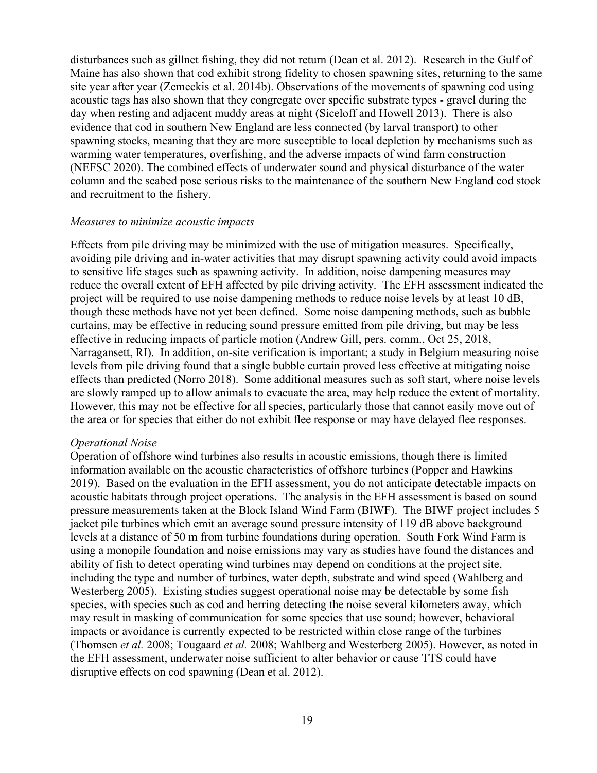disturbances such as gillnet fishing, they did not return (Dean et al. 2012). Research in the Gulf of Maine has also shown that cod exhibit strong fidelity to chosen spawning sites, returning to the same site year after year (Zemeckis et al. 2014b). Observations of the movements of spawning cod using acoustic tags has also shown that they congregate over specific substrate types - gravel during the day when resting and adjacent muddy areas at night (Siceloff and Howell 2013). There is also evidence that cod in southern New England are less connected (by larval transport) to other spawning stocks, meaning that they are more susceptible to local depletion by mechanisms such as warming water temperatures, overfishing, and the adverse impacts of wind farm construction (NEFSC 2020). The combined effects of underwater sound and physical disturbance of the water column and the seabed pose serious risks to the maintenance of the southern New England cod stock and recruitment to the fishery.

#### *Measures to minimize acoustic impacts*

Effects from pile driving may be minimized with the use of mitigation measures. Specifically, avoiding pile driving and in-water activities that may disrupt spawning activity could avoid impacts to sensitive life stages such as spawning activity. In addition, noise dampening measures may reduce the overall extent of EFH affected by pile driving activity. The EFH assessment indicated the project will be required to use noise dampening methods to reduce noise levels by at least 10 dB, though these methods have not yet been defined. Some noise dampening methods, such as bubble curtains, may be effective in reducing sound pressure emitted from pile driving, but may be less effective in reducing impacts of particle motion (Andrew Gill, pers. comm., Oct 25, 2018, Narragansett, RI). In addition, on-site verification is important; a study in Belgium measuring noise levels from pile driving found that a single bubble curtain proved less effective at mitigating noise effects than predicted (Norro 2018). Some additional measures such as soft start, where noise levels are slowly ramped up to allow animals to evacuate the area, may help reduce the extent of mortality. However, this may not be effective for all species, particularly those that cannot easily move out of the area or for species that either do not exhibit flee response or may have delayed flee responses.

### *Operational Noise*

Operation of offshore wind turbines also results in acoustic emissions, though there is limited information available on the acoustic characteristics of offshore turbines (Popper and Hawkins 2019). Based on the evaluation in the EFH assessment, you do not anticipate detectable impacts on acoustic habitats through project operations. The analysis in the EFH assessment is based on sound pressure measurements taken at the Block Island Wind Farm (BIWF). The BIWF project includes 5 jacket pile turbines which emit an average sound pressure intensity of 119 dB above background levels at a distance of 50 m from turbine foundations during operation. South Fork Wind Farm is using a monopile foundation and noise emissions may vary as studies have found the distances and ability of fish to detect operating wind turbines may depend on conditions at the project site, including the type and number of turbines, water depth, substrate and wind speed (Wahlberg and Westerberg 2005). Existing studies suggest operational noise may be detectable by some fish species, with species such as cod and herring detecting the noise several kilometers away, which may result in masking of communication for some species that use sound; however, behavioral impacts or avoidance is currently expected to be restricted within close range of the turbines (Thomsen *et al.* 2008; Tougaard *et al.* 2008; Wahlberg and Westerberg 2005). However, as noted in the EFH assessment, underwater noise sufficient to alter behavior or cause TTS could have disruptive effects on cod spawning (Dean et al. 2012).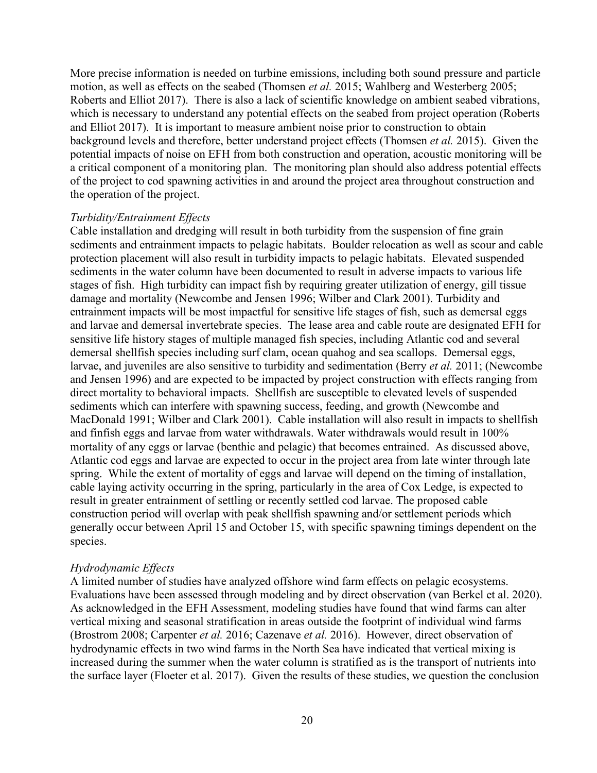More precise information is needed on turbine emissions, including both sound pressure and particle motion, as well as effects on the seabed (Thomsen *et al.* 2015; Wahlberg and Westerberg 2005; Roberts and Elliot 2017). There is also a lack of scientific knowledge on ambient seabed vibrations, which is necessary to understand any potential effects on the seabed from project operation (Roberts and Elliot 2017). It is important to measure ambient noise prior to construction to obtain background levels and therefore, better understand project effects (Thomsen *et al.* 2015). Given the potential impacts of noise on EFH from both construction and operation, acoustic monitoring will be a critical component of a monitoring plan. The monitoring plan should also address potential effects of the project to cod spawning activities in and around the project area throughout construction and the operation of the project.

#### *Turbidity/Entrainment Effects*

Cable installation and dredging will result in both turbidity from the suspension of fine grain sediments and entrainment impacts to pelagic habitats. Boulder relocation as well as scour and cable protection placement will also result in turbidity impacts to pelagic habitats. Elevated suspended sediments in the water column have been documented to result in adverse impacts to various life stages of fish. High turbidity can impact fish by requiring greater utilization of energy, gill tissue damage and mortality (Newcombe and Jensen 1996; Wilber and Clark 2001). Turbidity and entrainment impacts will be most impactful for sensitive life stages of fish, such as demersal eggs and larvae and demersal invertebrate species. The lease area and cable route are designated EFH for sensitive life history stages of multiple managed fish species, including Atlantic cod and several demersal shellfish species including surf clam, ocean quahog and sea scallops. Demersal eggs, larvae, and juveniles are also sensitive to turbidity and sedimentation (Berry *et al.* 2011; (Newcombe and Jensen 1996) and are expected to be impacted by project construction with effects ranging from direct mortality to behavioral impacts. Shellfish are susceptible to elevated levels of suspended sediments which can interfere with spawning success, feeding, and growth (Newcombe and MacDonald 1991; Wilber and Clark 2001). Cable installation will also result in impacts to shellfish and finfish eggs and larvae from water withdrawals. Water withdrawals would result in 100% mortality of any eggs or larvae (benthic and pelagic) that becomes entrained. As discussed above, Atlantic cod eggs and larvae are expected to occur in the project area from late winter through late spring. While the extent of mortality of eggs and larvae will depend on the timing of installation, cable laying activity occurring in the spring, particularly in the area of Cox Ledge, is expected to result in greater entrainment of settling or recently settled cod larvae. The proposed cable construction period will overlap with peak shellfish spawning and/or settlement periods which generally occur between April 15 and October 15, with specific spawning timings dependent on the species.

#### *Hydrodynamic Effects*

A limited number of studies have analyzed offshore wind farm effects on pelagic ecosystems. Evaluations have been assessed through modeling and by direct observation (van Berkel et al. 2020). As acknowledged in the EFH Assessment, modeling studies have found that wind farms can alter vertical mixing and seasonal stratification in areas outside the footprint of individual wind farms (Brostrom 2008; Carpenter *et al.* 2016; Cazenave *et al.* 2016). However, direct observation of hydrodynamic effects in two wind farms in the North Sea have indicated that vertical mixing is increased during the summer when the water column is stratified as is the transport of nutrients into the surface layer (Floeter et al. 2017). Given the results of these studies, we question the conclusion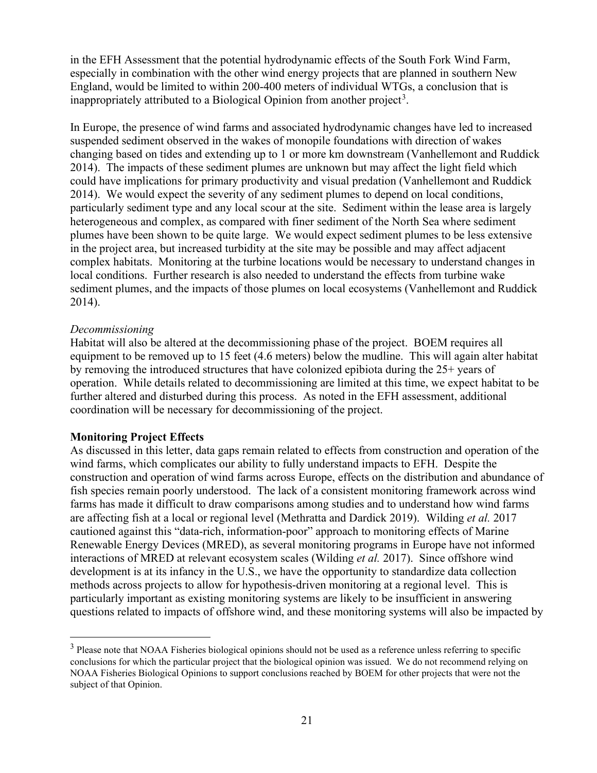in the EFH Assessment that the potential hydrodynamic effects of the South Fork Wind Farm, especially in combination with the other wind energy projects that are planned in southern New England, would be limited to within 200-400 meters of individual WTGs, a conclusion that is inappropriately attributed to a Biological Opinion from another project<sup>[3](#page-20-0)</sup>.

In Europe, the presence of wind farms and associated hydrodynamic changes have led to increased suspended sediment observed in the wakes of monopile foundations with direction of wakes changing based on tides and extending up to 1 or more km downstream (Vanhellemont and Ruddick 2014). The impacts of these sediment plumes are unknown but may affect the light field which could have implications for primary productivity and visual predation (Vanhellemont and Ruddick 2014). We would expect the severity of any sediment plumes to depend on local conditions, particularly sediment type and any local scour at the site. Sediment within the lease area is largely heterogeneous and complex, as compared with finer sediment of the North Sea where sediment plumes have been shown to be quite large. We would expect sediment plumes to be less extensive in the project area, but increased turbidity at the site may be possible and may affect adjacent complex habitats. Monitoring at the turbine locations would be necessary to understand changes in local conditions. Further research is also needed to understand the effects from turbine wake sediment plumes, and the impacts of those plumes on local ecosystems (Vanhellemont and Ruddick 2014).

#### *Decommissioning*

Habitat will also be altered at the decommissioning phase of the project. BOEM requires all equipment to be removed up to 15 feet (4.6 meters) below the mudline. This will again alter habitat by removing the introduced structures that have colonized epibiota during the 25+ years of operation. While details related to decommissioning are limited at this time, we expect habitat to be further altered and disturbed during this process. As noted in the EFH assessment, additional coordination will be necessary for decommissioning of the project.

### **Monitoring Project Effects**

As discussed in this letter, data gaps remain related to effects from construction and operation of the wind farms, which complicates our ability to fully understand impacts to EFH. Despite the construction and operation of wind farms across Europe, effects on the distribution and abundance of fish species remain poorly understood. The lack of a consistent monitoring framework across wind farms has made it difficult to draw comparisons among studies and to understand how wind farms are affecting fish at a local or regional level (Methratta and Dardick 2019). Wilding *et al.* 2017 cautioned against this "data-rich, information-poor" approach to monitoring effects of Marine Renewable Energy Devices (MRED), as several monitoring programs in Europe have not informed interactions of MRED at relevant ecosystem scales (Wilding *et al.* 2017). Since offshore wind development is at its infancy in the U.S., we have the opportunity to standardize data collection methods across projects to allow for hypothesis-driven monitoring at a regional level. This is particularly important as existing monitoring systems are likely to be insufficient in answering questions related to impacts of offshore wind, and these monitoring systems will also be impacted by

<span id="page-20-0"></span><sup>&</sup>lt;sup>3</sup> Please note that NOAA Fisheries biological opinions should not be used as a reference unless referring to specific conclusions for which the particular project that the biological opinion was issued. We do not recommend relying on NOAA Fisheries Biological Opinions to support conclusions reached by BOEM for other projects that were not the subject of that Opinion.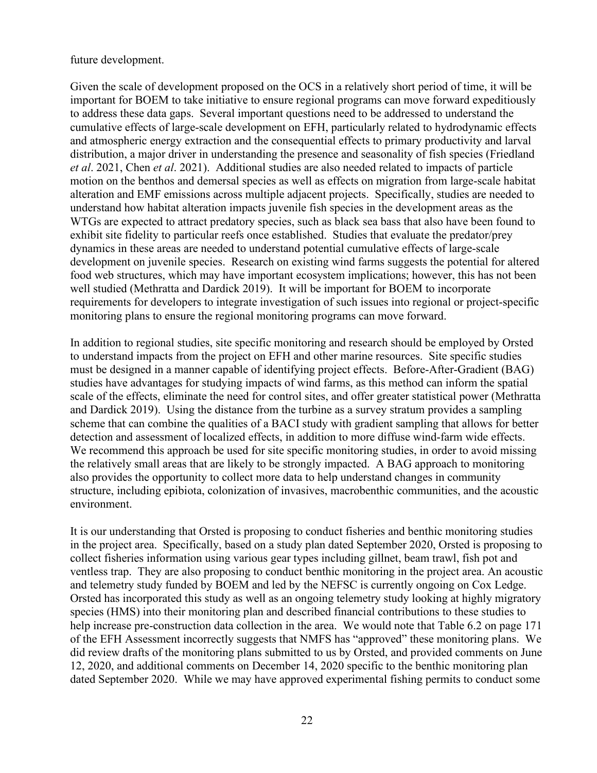future development.

Given the scale of development proposed on the OCS in a relatively short period of time, it will be important for BOEM to take initiative to ensure regional programs can move forward expeditiously to address these data gaps. Several important questions need to be addressed to understand the cumulative effects of large-scale development on EFH, particularly related to hydrodynamic effects and atmospheric energy extraction and the consequential effects to primary productivity and larval distribution, a major driver in understanding the presence and seasonality of fish species (Friedland *et al*. 2021, Chen *et al*. 2021). Additional studies are also needed related to impacts of particle motion on the benthos and demersal species as well as effects on migration from large-scale habitat alteration and EMF emissions across multiple adjacent projects. Specifically, studies are needed to understand how habitat alteration impacts juvenile fish species in the development areas as the WTGs are expected to attract predatory species, such as black sea bass that also have been found to exhibit site fidelity to particular reefs once established. Studies that evaluate the predator/prey dynamics in these areas are needed to understand potential cumulative effects of large-scale development on juvenile species. Research on existing wind farms suggests the potential for altered food web structures, which may have important ecosystem implications; however, this has not been well studied (Methratta and Dardick 2019). It will be important for BOEM to incorporate requirements for developers to integrate investigation of such issues into regional or project-specific monitoring plans to ensure the regional monitoring programs can move forward.

In addition to regional studies, site specific monitoring and research should be employed by Orsted to understand impacts from the project on EFH and other marine resources. Site specific studies must be designed in a manner capable of identifying project effects. Before-After-Gradient (BAG) studies have advantages for studying impacts of wind farms, as this method can inform the spatial scale of the effects, eliminate the need for control sites, and offer greater statistical power (Methratta and Dardick 2019). Using the distance from the turbine as a survey stratum provides a sampling scheme that can combine the qualities of a BACI study with gradient sampling that allows for better detection and assessment of localized effects, in addition to more diffuse wind-farm wide effects. We recommend this approach be used for site specific monitoring studies, in order to avoid missing the relatively small areas that are likely to be strongly impacted. A BAG approach to monitoring also provides the opportunity to collect more data to help understand changes in community structure, including epibiota, colonization of invasives, macrobenthic communities, and the acoustic environment.

It is our understanding that Orsted is proposing to conduct fisheries and benthic monitoring studies in the project area. Specifically, based on a study plan dated September 2020, Orsted is proposing to collect fisheries information using various gear types including gillnet, beam trawl, fish pot and ventless trap. They are also proposing to conduct benthic monitoring in the project area. An acoustic and telemetry study funded by BOEM and led by the NEFSC is currently ongoing on Cox Ledge. Orsted has incorporated this study as well as an ongoing telemetry study looking at highly migratory species (HMS) into their monitoring plan and described financial contributions to these studies to help increase pre-construction data collection in the area. We would note that Table 6.2 on page 171 of the EFH Assessment incorrectly suggests that NMFS has "approved" these monitoring plans. We did review drafts of the monitoring plans submitted to us by Orsted, and provided comments on June 12, 2020, and additional comments on December 14, 2020 specific to the benthic monitoring plan dated September 2020. While we may have approved experimental fishing permits to conduct some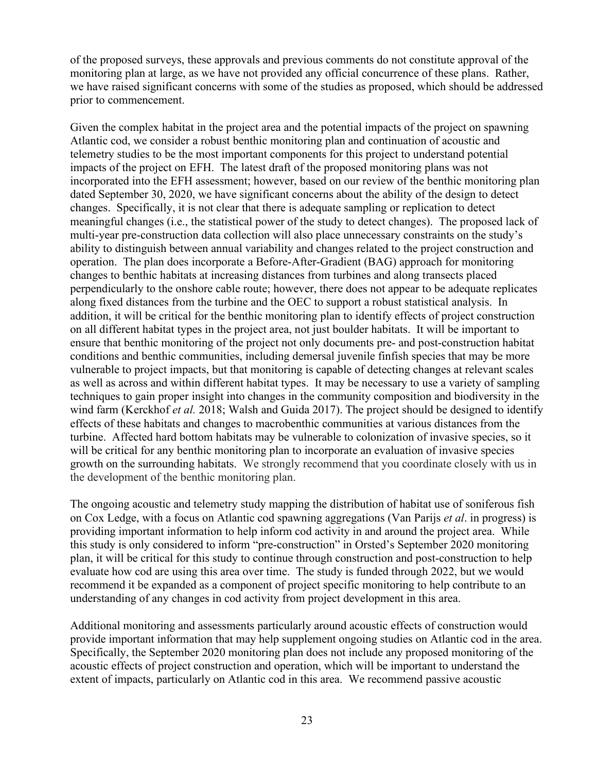of the proposed surveys, these approvals and previous comments do not constitute approval of the monitoring plan at large, as we have not provided any official concurrence of these plans. Rather, we have raised significant concerns with some of the studies as proposed, which should be addressed prior to commencement.

Given the complex habitat in the project area and the potential impacts of the project on spawning Atlantic cod, we consider a robust benthic monitoring plan and continuation of acoustic and telemetry studies to be the most important components for this project to understand potential impacts of the project on EFH. The latest draft of the proposed monitoring plans was not incorporated into the EFH assessment; however, based on our review of the benthic monitoring plan dated September 30, 2020, we have significant concerns about the ability of the design to detect changes. Specifically, it is not clear that there is adequate sampling or replication to detect meaningful changes (i.e., the statistical power of the study to detect changes). The proposed lack of multi-year pre-construction data collection will also place unnecessary constraints on the study's ability to distinguish between annual variability and changes related to the project construction and operation. The plan does incorporate a Before-After-Gradient (BAG) approach for monitoring changes to benthic habitats at increasing distances from turbines and along transects placed perpendicularly to the onshore cable route; however, there does not appear to be adequate replicates along fixed distances from the turbine and the OEC to support a robust statistical analysis. In addition, it will be critical for the benthic monitoring plan to identify effects of project construction on all different habitat types in the project area, not just boulder habitats. It will be important to ensure that benthic monitoring of the project not only documents pre- and post-construction habitat conditions and benthic communities, including demersal juvenile finfish species that may be more vulnerable to project impacts, but that monitoring is capable of detecting changes at relevant scales as well as across and within different habitat types. It may be necessary to use a variety of sampling techniques to gain proper insight into changes in the community composition and biodiversity in the wind farm (Kerckhof *et al.* 2018; Walsh and Guida 2017). The project should be designed to identify effects of these habitats and changes to macrobenthic communities at various distances from the turbine. Affected hard bottom habitats may be vulnerable to colonization of invasive species, so it will be critical for any benthic monitoring plan to incorporate an evaluation of invasive species growth on the surrounding habitats. We strongly recommend that you coordinate closely with us in the development of the benthic monitoring plan.

The ongoing acoustic and telemetry study mapping the distribution of habitat use of soniferous fish on Cox Ledge, with a focus on Atlantic cod spawning aggregations (Van Parijs *et al*. in progress) is providing important information to help inform cod activity in and around the project area. While this study is only considered to inform "pre-construction" in Orsted's September 2020 monitoring plan, it will be critical for this study to continue through construction and post-construction to help evaluate how cod are using this area over time. The study is funded through 2022, but we would recommend it be expanded as a component of project specific monitoring to help contribute to an understanding of any changes in cod activity from project development in this area.

Additional monitoring and assessments particularly around acoustic effects of construction would provide important information that may help supplement ongoing studies on Atlantic cod in the area. Specifically, the September 2020 monitoring plan does not include any proposed monitoring of the acoustic effects of project construction and operation, which will be important to understand the extent of impacts, particularly on Atlantic cod in this area. We recommend passive acoustic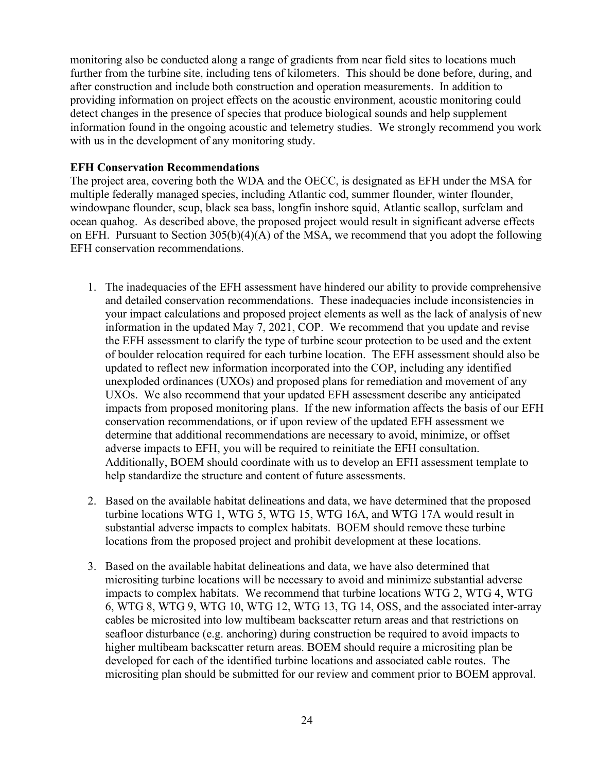monitoring also be conducted along a range of gradients from near field sites to locations much further from the turbine site, including tens of kilometers. This should be done before, during, and after construction and include both construction and operation measurements. In addition to providing information on project effects on the acoustic environment, acoustic monitoring could detect changes in the presence of species that produce biological sounds and help supplement information found in the ongoing acoustic and telemetry studies. We strongly recommend you work with us in the development of any monitoring study.

### **EFH Conservation Recommendations**

The project area, covering both the WDA and the OECC, is designated as EFH under the MSA for multiple federally managed species, including Atlantic cod, summer flounder, winter flounder, windowpane flounder, scup, black sea bass, longfin inshore squid, Atlantic scallop, surfclam and ocean quahog. As described above, the proposed project would result in significant adverse effects on EFH. Pursuant to Section  $305(b)(4)(A)$  of the MSA, we recommend that you adopt the following EFH conservation recommendations.

- 1. The inadequacies of the EFH assessment have hindered our ability to provide comprehensive and detailed conservation recommendations. These inadequacies include inconsistencies in your impact calculations and proposed project elements as well as the lack of analysis of new information in the updated May 7, 2021, COP. We recommend that you update and revise the EFH assessment to clarify the type of turbine scour protection to be used and the extent of boulder relocation required for each turbine location. The EFH assessment should also be updated to reflect new information incorporated into the COP, including any identified unexploded ordinances (UXOs) and proposed plans for remediation and movement of any UXOs. We also recommend that your updated EFH assessment describe any anticipated impacts from proposed monitoring plans. If the new information affects the basis of our EFH conservation recommendations, or if upon review of the updated EFH assessment we determine that additional recommendations are necessary to avoid, minimize, or offset adverse impacts to EFH, you will be required to reinitiate the EFH consultation. Additionally, BOEM should coordinate with us to develop an EFH assessment template to help standardize the structure and content of future assessments.
- 2. Based on the available habitat delineations and data, we have determined that the proposed turbine locations WTG 1, WTG 5, WTG 15, WTG 16A, and WTG 17A would result in substantial adverse impacts to complex habitats. BOEM should remove these turbine locations from the proposed project and prohibit development at these locations.
- 3. Based on the available habitat delineations and data, we have also determined that micrositing turbine locations will be necessary to avoid and minimize substantial adverse impacts to complex habitats. We recommend that turbine locations WTG 2, WTG 4, WTG 6, WTG 8, WTG 9, WTG 10, WTG 12, WTG 13, TG 14, OSS, and the associated inter-array cables be microsited into low multibeam backscatter return areas and that restrictions on seafloor disturbance (e.g. anchoring) during construction be required to avoid impacts to higher multibeam backscatter return areas. BOEM should require a micrositing plan be developed for each of the identified turbine locations and associated cable routes. The micrositing plan should be submitted for our review and comment prior to BOEM approval.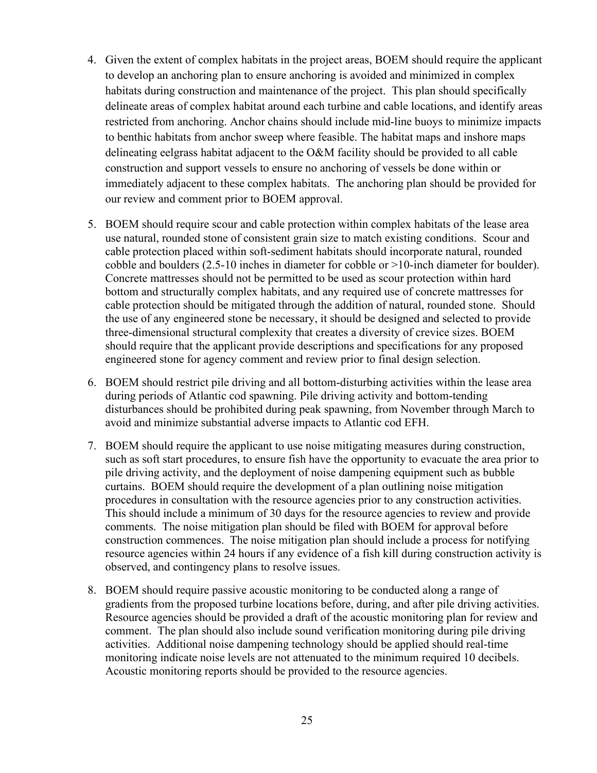- 4. Given the extent of complex habitats in the project areas, BOEM should require the applicant to develop an anchoring plan to ensure anchoring is avoided and minimized in complex habitats during construction and maintenance of the project. This plan should specifically delineate areas of complex habitat around each turbine and cable locations, and identify areas restricted from anchoring. Anchor chains should include mid-line buoys to minimize impacts to benthic habitats from anchor sweep where feasible. The habitat maps and inshore maps delineating eelgrass habitat adjacent to the O&M facility should be provided to all cable construction and support vessels to ensure no anchoring of vessels be done within or immediately adjacent to these complex habitats. The anchoring plan should be provided for our review and comment prior to BOEM approval.
- 5. BOEM should require scour and cable protection within complex habitats of the lease area use natural, rounded stone of consistent grain size to match existing conditions. Scour and cable protection placed within soft-sediment habitats should incorporate natural, rounded cobble and boulders (2.5-10 inches in diameter for cobble or >10-inch diameter for boulder). Concrete mattresses should not be permitted to be used as scour protection within hard bottom and structurally complex habitats, and any required use of concrete mattresses for cable protection should be mitigated through the addition of natural, rounded stone. Should the use of any engineered stone be necessary, it should be designed and selected to provide three-dimensional structural complexity that creates a diversity of crevice sizes. BOEM should require that the applicant provide descriptions and specifications for any proposed engineered stone for agency comment and review prior to final design selection.
- 6. BOEM should restrict pile driving and all bottom-disturbing activities within the lease area during periods of Atlantic cod spawning. Pile driving activity and bottom-tending disturbances should be prohibited during peak spawning, from November through March to avoid and minimize substantial adverse impacts to Atlantic cod EFH.
- 7. BOEM should require the applicant to use noise mitigating measures during construction, such as soft start procedures, to ensure fish have the opportunity to evacuate the area prior to pile driving activity, and the deployment of noise dampening equipment such as bubble curtains. BOEM should require the development of a plan outlining noise mitigation procedures in consultation with the resource agencies prior to any construction activities. This should include a minimum of 30 days for the resource agencies to review and provide comments. The noise mitigation plan should be filed with BOEM for approval before construction commences. The noise mitigation plan should include a process for notifying resource agencies within 24 hours if any evidence of a fish kill during construction activity is observed, and contingency plans to resolve issues.
- 8. BOEM should require passive acoustic monitoring to be conducted along a range of gradients from the proposed turbine locations before, during, and after pile driving activities. Resource agencies should be provided a draft of the acoustic monitoring plan for review and comment. The plan should also include sound verification monitoring during pile driving activities. Additional noise dampening technology should be applied should real-time monitoring indicate noise levels are not attenuated to the minimum required 10 decibels. Acoustic monitoring reports should be provided to the resource agencies.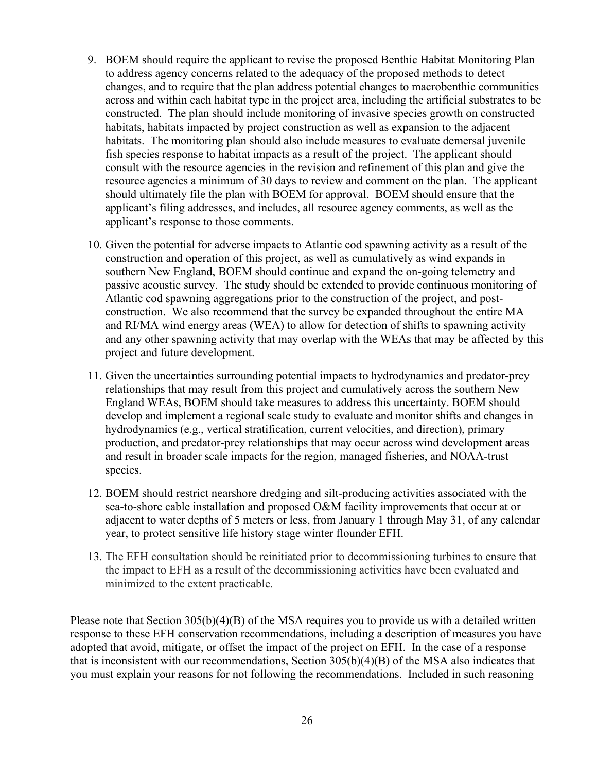- 9. BOEM should require the applicant to revise the proposed Benthic Habitat Monitoring Plan to address agency concerns related to the adequacy of the proposed methods to detect changes, and to require that the plan address potential changes to macrobenthic communities across and within each habitat type in the project area, including the artificial substrates to be constructed. The plan should include monitoring of invasive species growth on constructed habitats, habitats impacted by project construction as well as expansion to the adjacent habitats. The monitoring plan should also include measures to evaluate demersal juvenile fish species response to habitat impacts as a result of the project. The applicant should consult with the resource agencies in the revision and refinement of this plan and give the resource agencies a minimum of 30 days to review and comment on the plan. The applicant should ultimately file the plan with BOEM for approval. BOEM should ensure that the applicant's filing addresses, and includes, all resource agency comments, as well as the applicant's response to those comments.
- 10. Given the potential for adverse impacts to Atlantic cod spawning activity as a result of the construction and operation of this project, as well as cumulatively as wind expands in southern New England, BOEM should continue and expand the on-going telemetry and passive acoustic survey. The study should be extended to provide continuous monitoring of Atlantic cod spawning aggregations prior to the construction of the project, and postconstruction. We also recommend that the survey be expanded throughout the entire MA and RI/MA wind energy areas (WEA) to allow for detection of shifts to spawning activity and any other spawning activity that may overlap with the WEAs that may be affected by this project and future development.
- 11. Given the uncertainties surrounding potential impacts to hydrodynamics and predator-prey relationships that may result from this project and cumulatively across the southern New England WEAs, BOEM should take measures to address this uncertainty. BOEM should develop and implement a regional scale study to evaluate and monitor shifts and changes in hydrodynamics (e.g., vertical stratification, current velocities, and direction), primary production, and predator-prey relationships that may occur across wind development areas and result in broader scale impacts for the region, managed fisheries, and NOAA-trust species.
- 12. BOEM should restrict nearshore dredging and silt-producing activities associated with the sea-to-shore cable installation and proposed O&M facility improvements that occur at or adjacent to water depths of 5 meters or less, from January 1 through May 31, of any calendar year, to protect sensitive life history stage winter flounder EFH.
- 13. The EFH consultation should be reinitiated prior to decommissioning turbines to ensure that the impact to EFH as a result of the decommissioning activities have been evaluated and minimized to the extent practicable.

Please note that Section 305(b)(4)(B) of the MSA requires you to provide us with a detailed written response to these EFH conservation recommendations, including a description of measures you have adopted that avoid, mitigate, or offset the impact of the project on EFH. In the case of a response that is inconsistent with our recommendations, Section 305(b)(4)(B) of the MSA also indicates that you must explain your reasons for not following the recommendations. Included in such reasoning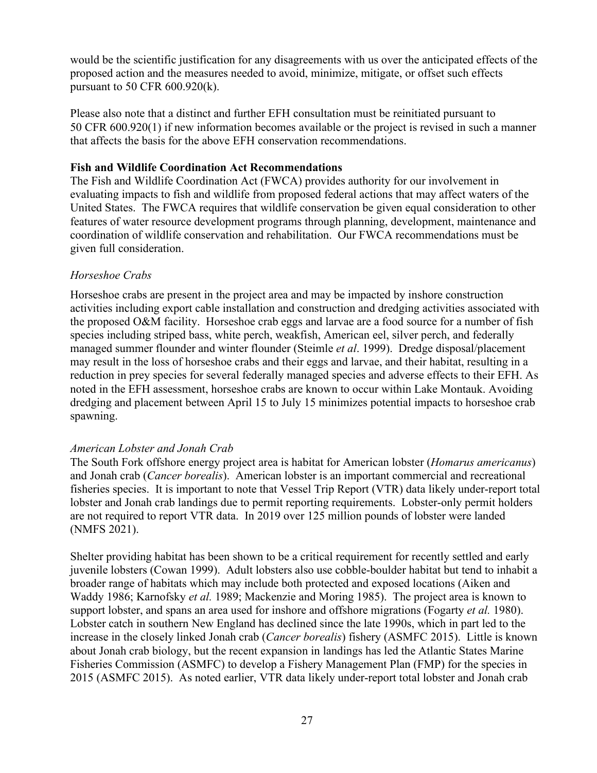would be the scientific justification for any disagreements with us over the anticipated effects of the proposed action and the measures needed to avoid, minimize, mitigate, or offset such effects pursuant to 50 CFR 600.920(k).

Please also note that a distinct and further EFH consultation must be reinitiated pursuant to 50 CFR 600.920(1) if new information becomes available or the project is revised in such a manner that affects the basis for the above EFH conservation recommendations.

## **Fish and Wildlife Coordination Act Recommendations**

The Fish and Wildlife Coordination Act (FWCA) provides authority for our involvement in evaluating impacts to fish and wildlife from proposed federal actions that may affect waters of the United States. The FWCA requires that wildlife conservation be given equal consideration to other features of water resource development programs through planning, development, maintenance and coordination of wildlife conservation and rehabilitation. Our FWCA recommendations must be given full consideration.

## *Horseshoe Crabs*

Horseshoe crabs are present in the project area and may be impacted by inshore construction activities including export cable installation and construction and dredging activities associated with the proposed O&M facility. Horseshoe crab eggs and larvae are a food source for a number of fish species including striped bass, white perch, weakfish, American eel, silver perch, and federally managed summer flounder and winter flounder (Steimle *et al*. 1999). Dredge disposal/placement may result in the loss of horseshoe crabs and their eggs and larvae, and their habitat, resulting in a reduction in prey species for several federally managed species and adverse effects to their EFH. As noted in the EFH assessment, horseshoe crabs are known to occur within Lake Montauk. Avoiding dredging and placement between April 15 to July 15 minimizes potential impacts to horseshoe crab spawning.

## *American Lobster and Jonah Crab*

The South Fork offshore energy project area is habitat for American lobster (*Homarus americanus*) and Jonah crab (*Cancer borealis*). American lobster is an important commercial and recreational fisheries species. It is important to note that Vessel Trip Report (VTR) data likely under-report total lobster and Jonah crab landings due to permit reporting requirements. Lobster-only permit holders are not required to report VTR data. In 2019 over 125 million pounds of lobster were landed (NMFS 2021).

Shelter providing habitat has been shown to be a critical requirement for recently settled and early juvenile lobsters (Cowan 1999). Adult lobsters also use cobble-boulder habitat but tend to inhabit a broader range of habitats which may include both protected and exposed locations (Aiken and Waddy 1986; Karnofsky *et al.* 1989; Mackenzie and Moring 1985). The project area is known to support lobster, and spans an area used for inshore and offshore migrations (Fogarty *et al.* 1980). Lobster catch in southern New England has declined since the late 1990s, which in part led to the increase in the closely linked Jonah crab (*Cancer borealis*) fishery (ASMFC 2015). Little is known about Jonah crab biology, but the recent expansion in landings has led the Atlantic States Marine Fisheries Commission (ASMFC) to develop a Fishery Management Plan (FMP) for the species in 2015 (ASMFC 2015). As noted earlier, VTR data likely under-report total lobster and Jonah crab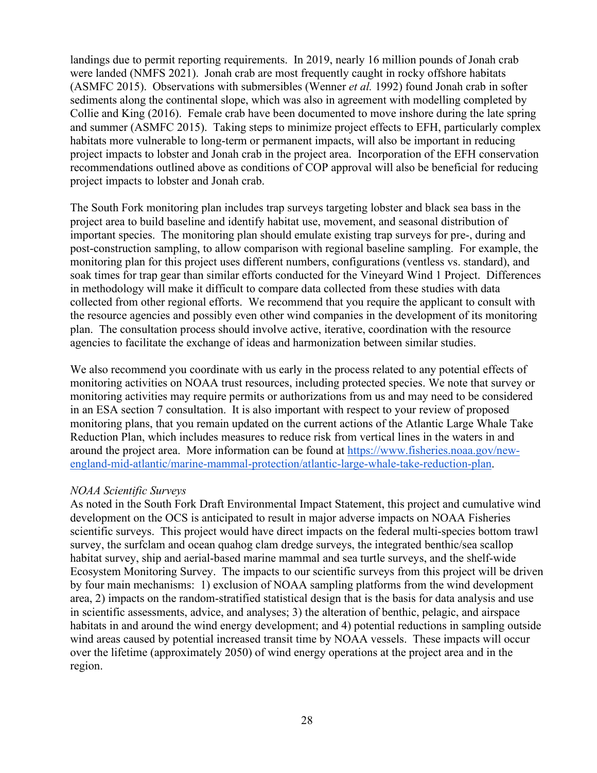landings due to permit reporting requirements. In 2019, nearly 16 million pounds of Jonah crab were landed (NMFS 2021). Jonah crab are most frequently caught in rocky offshore habitats (ASMFC 2015). Observations with submersibles (Wenner *et al.* 1992) found Jonah crab in softer sediments along the continental slope, which was also in agreement with modelling completed by Collie and King (2016). Female crab have been documented to move inshore during the late spring and summer (ASMFC 2015). Taking steps to minimize project effects to EFH, particularly complex habitats more vulnerable to long-term or permanent impacts, will also be important in reducing project impacts to lobster and Jonah crab in the project area. Incorporation of the EFH conservation recommendations outlined above as conditions of COP approval will also be beneficial for reducing project impacts to lobster and Jonah crab.

The South Fork monitoring plan includes trap surveys targeting lobster and black sea bass in the project area to build baseline and identify habitat use, movement, and seasonal distribution of important species. The monitoring plan should emulate existing trap surveys for pre-, during and post-construction sampling, to allow comparison with regional baseline sampling. For example, the monitoring plan for this project uses different numbers, configurations (ventless vs. standard), and soak times for trap gear than similar efforts conducted for the Vineyard Wind 1 Project. Differences in methodology will make it difficult to compare data collected from these studies with data collected from other regional efforts. We recommend that you require the applicant to consult with the resource agencies and possibly even other wind companies in the development of its monitoring plan. The consultation process should involve active, iterative, coordination with the resource agencies to facilitate the exchange of ideas and harmonization between similar studies.

We also recommend you coordinate with us early in the process related to any potential effects of monitoring activities on NOAA trust resources, including protected species. We note that survey or monitoring activities may require permits or authorizations from us and may need to be considered in an ESA section 7 consultation. It is also important with respect to your review of proposed monitoring plans, that you remain updated on the current actions of the Atlantic Large Whale Take Reduction Plan, which includes measures to reduce risk from vertical lines in the waters in and around the project area. More information can be found at [https://www.fisheries.noaa.gov/new](https://www.fisheries.noaa.gov/new-england-mid-atlantic/marine-mammal-protection/atlantic-large-whale-take-reduction-plan)[england-mid-atlantic/marine-mammal-protection/atlantic-large-whale-take-reduction-plan.](https://www.fisheries.noaa.gov/new-england-mid-atlantic/marine-mammal-protection/atlantic-large-whale-take-reduction-plan)

## *NOAA Scientific Surveys*

As noted in the South Fork Draft Environmental Impact Statement, this project and cumulative wind development on the OCS is anticipated to result in major adverse impacts on NOAA Fisheries scientific surveys. This project would have direct impacts on the federal multi-species bottom trawl survey, the surfclam and ocean quahog clam dredge surveys, the integrated benthic/sea scallop habitat survey, ship and aerial-based marine mammal and sea turtle surveys, and the shelf-wide Ecosystem Monitoring Survey. The impacts to our scientific surveys from this project will be driven by four main mechanisms: 1) exclusion of NOAA sampling platforms from the wind development area, 2) impacts on the random-stratified statistical design that is the basis for data analysis and use in scientific assessments, advice, and analyses; 3) the alteration of benthic, pelagic, and airspace habitats in and around the wind energy development; and 4) potential reductions in sampling outside wind areas caused by potential increased transit time by NOAA vessels. These impacts will occur over the lifetime (approximately 2050) of wind energy operations at the project area and in the region.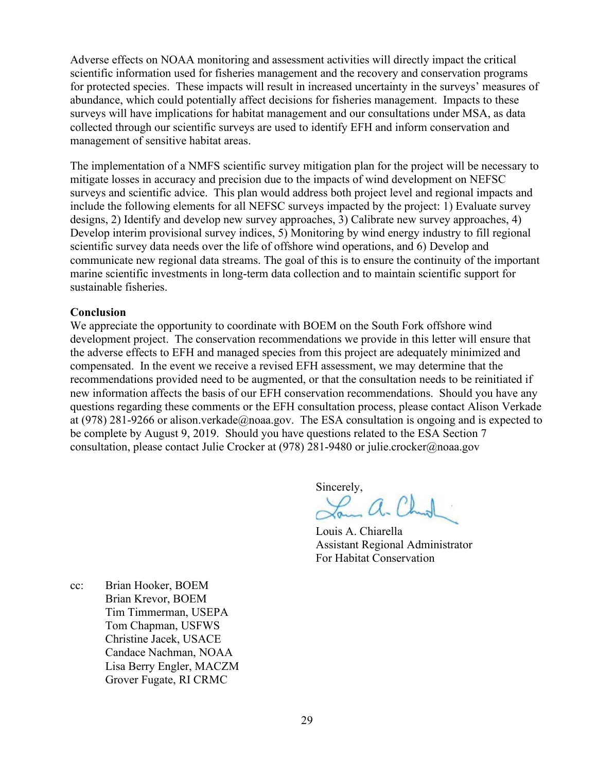Adverse effects on NOAA monitoring and assessment activities will directly impact the critical scientific information used for fisheries management and the recovery and conservation programs for protected species. These impacts will result in increased uncertainty in the surveys' measures of abundance, which could potentially affect decisions for fisheries management. Impacts to these surveys will have implications for habitat management and our consultations under MSA, as data collected through our scientific surveys are used to identify EFH and inform conservation and management of sensitive habitat areas.

The implementation of a NMFS scientific survey mitigation plan for the project will be necessary to mitigate losses in accuracy and precision due to the impacts of wind development on NEFSC surveys and scientific advice. This plan would address both project level and regional impacts and include the following elements for all NEFSC surveys impacted by the project: 1) Evaluate survey designs, 2) Identify and develop new survey approaches, 3) Calibrate new survey approaches, 4) Develop interim provisional survey indices, 5) Monitoring by wind energy industry to fill regional scientific survey data needs over the life of offshore wind operations, and 6) Develop and communicate new regional data streams. The goal of this is to ensure the continuity of the important marine scientific investments in long-term data collection and to maintain scientific support for sustainable fisheries.

## **Conclusion**

We appreciate the opportunity to coordinate with BOEM on the South Fork offshore wind development project. The conservation recommendations we provide in this letter will ensure that the adverse effects to EFH and managed species from this project are adequately minimized and compensated. In the event we receive a revised EFH assessment, we may determine that the recommendations provided need to be augmented, or that the consultation needs to be reinitiated if new information affects the basis of our EFH conservation recommendations. Should you have any questions regarding these comments or the EFH consultation process, please contact Alison Verkade at (978) 281-9266 or alison.verkade@noaa.gov. The ESA consultation is ongoing and is expected to be complete by August 9, 2019. Should you have questions related to the ESA Section 7 consultation, please contact Julie Crocker at (978) 281-9480 or julie.crocker@noaa.gov

Sincerely,

2 a. Chal

 Louis A. Chiarella Assistant Regional Administrator For Habitat Conservation

cc: Brian Hooker, BOEM Brian Krevor, BOEM Tim Timmerman, USEPA Tom Chapman, USFWS Christine Jacek, USACE Candace Nachman, NOAA Lisa Berry Engler, MACZM Grover Fugate, RI CRMC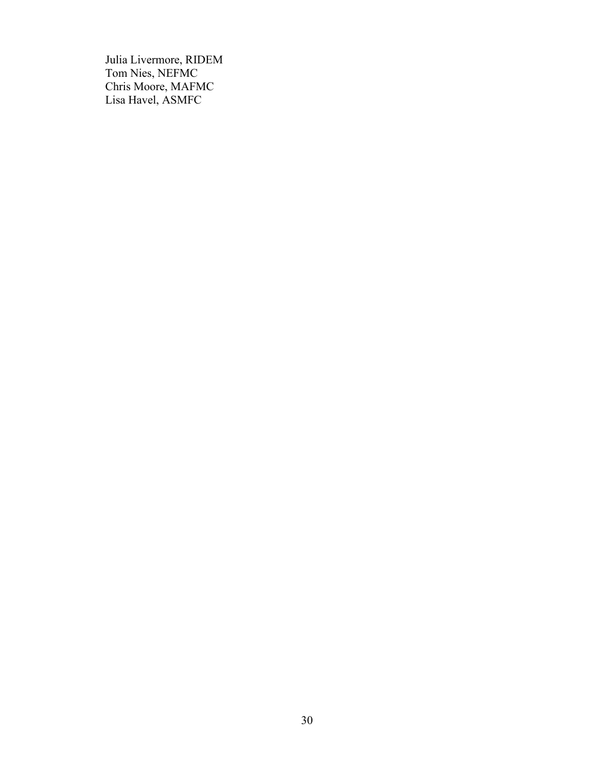Julia Livermore, RIDEM Tom Nies, NEFMC Chris Moore, MAFMC Lisa Havel, ASMFC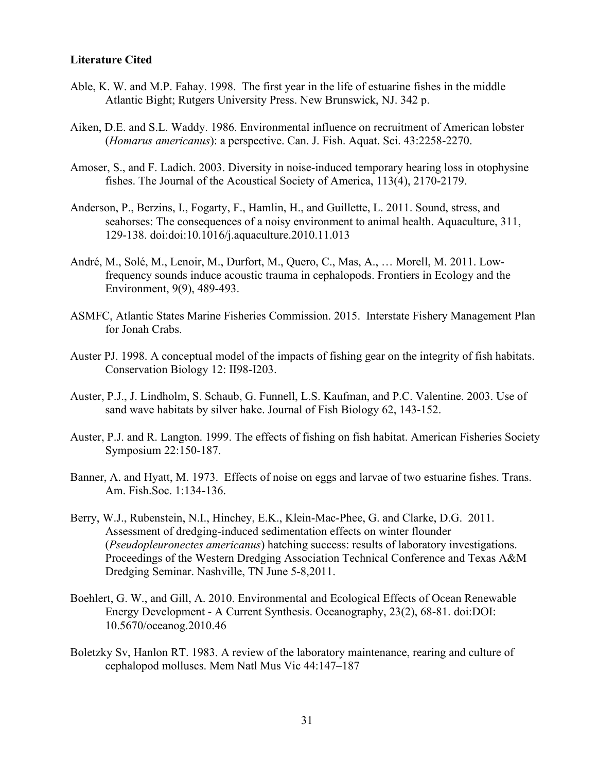## **Literature Cited**

- Able, K. W. and M.P. Fahay. 1998. The first year in the life of estuarine fishes in the middle Atlantic Bight; Rutgers University Press. New Brunswick, NJ. 342 p.
- Aiken, D.E. and S.L. Waddy. 1986. Environmental influence on recruitment of American lobster (*Homarus americanus*): a perspective. Can. J. Fish. Aquat. Sci. 43:2258-2270.
- Amoser, S., and F. Ladich. 2003. Diversity in noise-induced temporary hearing loss in otophysine fishes. The Journal of the Acoustical Society of America, 113(4), 2170-2179.
- Anderson, P., Berzins, I., Fogarty, F., Hamlin, H., and Guillette, L. 2011. Sound, stress, and seahorses: The consequences of a noisy environment to animal health. Aquaculture, 311, 129-138. doi:doi:10.1016/j.aquaculture.2010.11.013
- André, M., Solé, M., Lenoir, M., Durfort, M., Quero, C., Mas, A., … Morell, M. 2011. Low‐ frequency sounds induce acoustic trauma in cephalopods. Frontiers in Ecology and the Environment, 9(9), 489-493.
- ASMFC, Atlantic States Marine Fisheries Commission. 2015. Interstate Fishery Management Plan for Jonah Crabs.
- Auster PJ. 1998. A conceptual model of the impacts of fishing gear on the integrity of fish habitats. Conservation Biology 12: II98-I203.
- Auster, P.J., J. Lindholm, S. Schaub, G. Funnell, L.S. Kaufman, and P.C. Valentine. 2003. Use of sand wave habitats by silver hake. Journal of Fish Biology 62, 143-152.
- Auster, P.J. and R. Langton. 1999. The effects of fishing on fish habitat. American Fisheries Society Symposium 22:150-187.
- Banner, A. and Hyatt, M. 1973. Effects of noise on eggs and larvae of two estuarine fishes. Trans. Am. Fish.Soc. 1:134-136.
- Berry, W.J., Rubenstein, N.I., Hinchey, E.K., Klein-Mac-Phee, G. and Clarke, D.G. 2011. Assessment of dredging-induced sedimentation effects on winter flounder (*Pseudopleuronectes americanus*) hatching success: results of laboratory investigations. Proceedings of the Western Dredging Association Technical Conference and Texas A&M Dredging Seminar. Nashville, TN June 5-8,2011.
- Boehlert, G. W., and Gill, A. 2010. Environmental and Ecological Effects of Ocean Renewable Energy Development - A Current Synthesis. Oceanography, 23(2), 68-81. doi:DOI: 10.5670/oceanog.2010.46
- Boletzky Sv, Hanlon RT. 1983. A review of the laboratory maintenance, rearing and culture of cephalopod molluscs. Mem Natl Mus Vic 44:147–187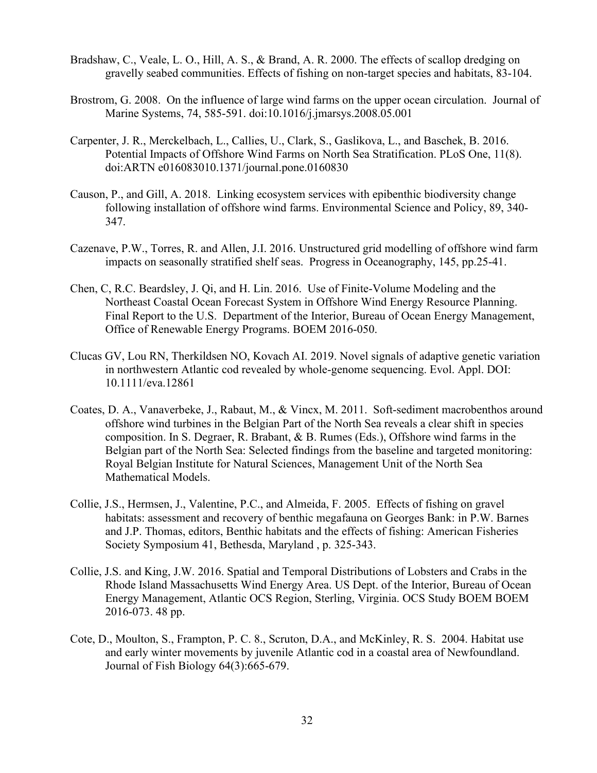- Bradshaw, C., Veale, L. O., Hill, A. S., & Brand, A. R. 2000. The effects of scallop dredging on gravelly seabed communities. Effects of fishing on non-target species and habitats, 83-104.
- Brostrom, G. 2008. On the influence of large wind farms on the upper ocean circulation. Journal of Marine Systems, 74, 585-591. doi:10.1016/j.jmarsys.2008.05.001
- Carpenter, J. R., Merckelbach, L., Callies, U., Clark, S., Gaslikova, L., and Baschek, B. 2016. Potential Impacts of Offshore Wind Farms on North Sea Stratification. PLoS One, 11(8). doi:ARTN e016083010.1371/journal.pone.0160830
- Causon, P., and Gill, A. 2018. Linking ecosystem services with epibenthic biodiversity change following installation of offshore wind farms. Environmental Science and Policy, 89, 340- 347.
- Cazenave, P.W., Torres, R. and Allen, J.I. 2016. Unstructured grid modelling of offshore wind farm impacts on seasonally stratified shelf seas. Progress in Oceanography, 145, pp.25-41.
- Chen, C, R.C. Beardsley, J. Qi, and H. Lin. 2016. Use of Finite-Volume Modeling and the Northeast Coastal Ocean Forecast System in Offshore Wind Energy Resource Planning. Final Report to the U.S. Department of the Interior, Bureau of Ocean Energy Management, Office of Renewable Energy Programs. BOEM 2016-050.
- Clucas GV, Lou RN, Therkildsen NO, Kovach AI. 2019. Novel signals of adaptive genetic variation in northwestern Atlantic cod revealed by whole-genome sequencing. Evol. Appl. DOI: 10.1111/eva.12861
- Coates, D. A., Vanaverbeke, J., Rabaut, M., & Vincx, M. 2011. Soft-sediment macrobenthos around offshore wind turbines in the Belgian Part of the North Sea reveals a clear shift in species composition. In S. Degraer, R. Brabant, & B. Rumes (Eds.), Offshore wind farms in the Belgian part of the North Sea: Selected findings from the baseline and targeted monitoring: Royal Belgian Institute for Natural Sciences, Management Unit of the North Sea Mathematical Models.
- Collie, J.S., Hermsen, J., Valentine, P.C., and Almeida, F. 2005. Effects of fishing on gravel habitats: assessment and recovery of benthic megafauna on Georges Bank: in P.W. Barnes and J.P. Thomas, editors, Benthic habitats and the effects of fishing: American Fisheries Society Symposium 41, Bethesda, Maryland , p. 325-343.
- Collie, J.S. and King, J.W. 2016. Spatial and Temporal Distributions of Lobsters and Crabs in the Rhode Island Massachusetts Wind Energy Area. US Dept. of the Interior, Bureau of Ocean Energy Management, Atlantic OCS Region, Sterling, Virginia. OCS Study BOEM BOEM 2016-073. 48 pp.
- Cote, D., Moulton, S., Frampton, P. C. 8., Scruton, D.A., and McKinley, R. S. 2004. Habitat use and early winter movements by juvenile Atlantic cod in a coastal area of Newfoundland. Journal of Fish Biology 64(3):665-679.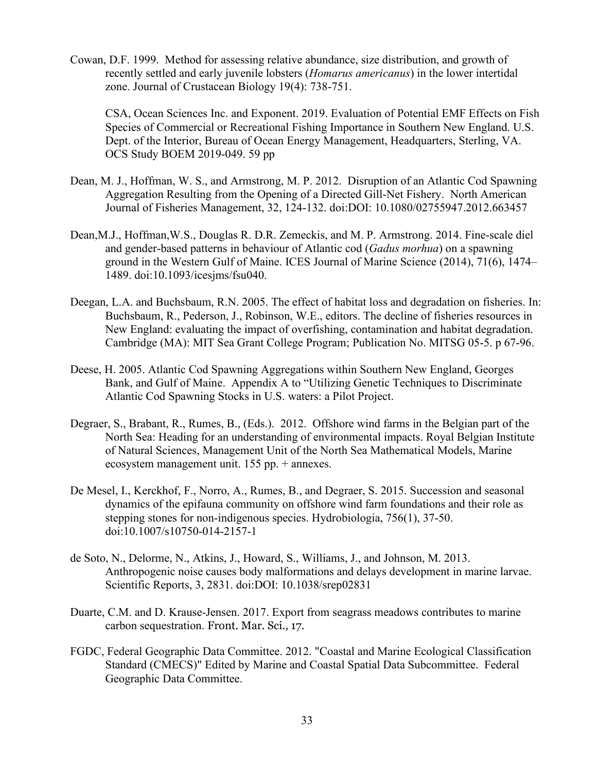Cowan, D.F. 1999. Method for assessing relative abundance, size distribution, and growth of recently settled and early juvenile lobsters (*Homarus americanus*) in the lower intertidal zone. Journal of Crustacean Biology 19(4): 738-751.

CSA, Ocean Sciences Inc. and Exponent. 2019. Evaluation of Potential EMF Effects on Fish Species of Commercial or Recreational Fishing Importance in Southern New England. U.S. Dept. of the Interior, Bureau of Ocean Energy Management, Headquarters, Sterling, VA. OCS Study BOEM 2019-049. 59 pp

- Dean, M. J., Hoffman, W. S., and Armstrong, M. P. 2012. Disruption of an Atlantic Cod Spawning Aggregation Resulting from the Opening of a Directed Gill-Net Fishery. North American Journal of Fisheries Management, 32, 124-132. doi:DOI: 10.1080/02755947.2012.663457
- Dean,M.J., Hoffman,W.S., Douglas R. D.R. Zemeckis, and M. P. Armstrong. 2014. Fine-scale diel and gender-based patterns in behaviour of Atlantic cod (*Gadus morhua*) on a spawning ground in the Western Gulf of Maine. ICES Journal of Marine Science (2014), 71(6), 1474– 1489. doi:10.1093/icesjms/fsu040.
- Deegan, L.A. and Buchsbaum, R.N. 2005. The effect of habitat loss and degradation on fisheries. In: Buchsbaum, R., Pederson, J., Robinson, W.E., editors. The decline of fisheries resources in New England: evaluating the impact of overfishing, contamination and habitat degradation. Cambridge (MA): MIT Sea Grant College Program; Publication No. MITSG 05-5. p 67-96.
- Deese, H. 2005. Atlantic Cod Spawning Aggregations within Southern New England, Georges Bank, and Gulf of Maine. Appendix A to "Utilizing Genetic Techniques to Discriminate Atlantic Cod Spawning Stocks in U.S. waters: a Pilot Project.
- Degraer, S., Brabant, R., Rumes, B., (Eds.). 2012. Offshore wind farms in the Belgian part of the North Sea: Heading for an understanding of environmental impacts. Royal Belgian Institute of Natural Sciences, Management Unit of the North Sea Mathematical Models, Marine ecosystem management unit. 155 pp. + annexes.
- De Mesel, I., Kerckhof, F., Norro, A., Rumes, B., and Degraer, S. 2015. Succession and seasonal dynamics of the epifauna community on offshore wind farm foundations and their role as stepping stones for non-indigenous species. Hydrobiologia, 756(1), 37-50. doi:10.1007/s10750-014-2157-1
- de Soto, N., Delorme, N., Atkins, J., Howard, S., Williams, J., and Johnson, M. 2013. Anthropogenic noise causes body malformations and delays development in marine larvae. Scientific Reports, 3, 2831. doi:DOI: 10.1038/srep02831
- Duarte, C.M. and D. Krause-Jensen. 2017. Export from seagrass meadows contributes to marine carbon sequestration. Front. Mar. Sci., 17.
- FGDC, Federal Geographic Data Committee. 2012. "Coastal and Marine Ecological Classification Standard (CMECS)" Edited by Marine and Coastal Spatial Data Subcommittee. Federal Geographic Data Committee.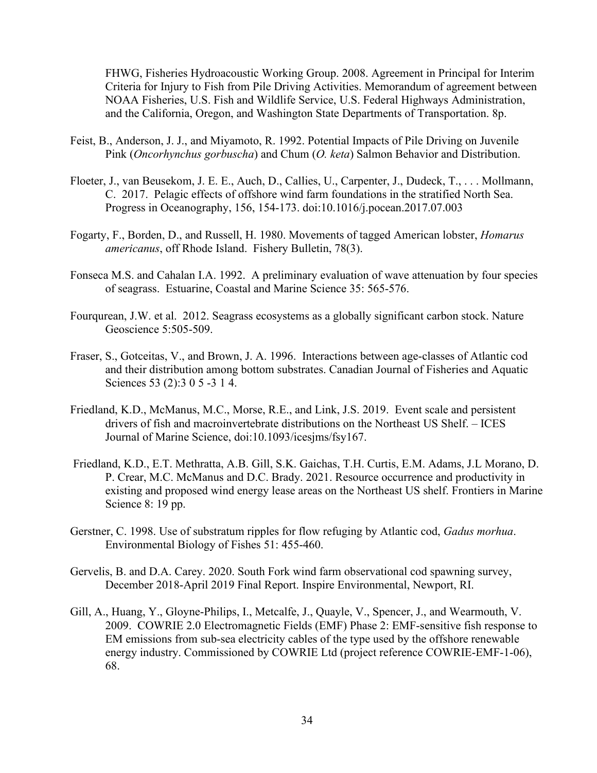FHWG, Fisheries Hydroacoustic Working Group. 2008. Agreement in Principal for Interim Criteria for Injury to Fish from Pile Driving Activities. Memorandum of agreement between NOAA Fisheries, U.S. Fish and Wildlife Service, U.S. Federal Highways Administration, and the California, Oregon, and Washington State Departments of Transportation. 8p.

- Feist, B., Anderson, J. J., and Miyamoto, R. 1992. Potential Impacts of Pile Driving on Juvenile Pink (*Oncorhynchus gorbuscha*) and Chum (*O. keta*) Salmon Behavior and Distribution.
- Floeter, J., van Beusekom, J. E. E., Auch, D., Callies, U., Carpenter, J., Dudeck, T., . . . Mollmann, C. 2017. Pelagic effects of offshore wind farm foundations in the stratified North Sea. Progress in Oceanography, 156, 154-173. doi:10.1016/j.pocean.2017.07.003
- Fogarty, F., Borden, D., and Russell, H. 1980. Movements of tagged American lobster, *Homarus americanus*, off Rhode Island. Fishery Bulletin, 78(3).
- Fonseca M.S. and Cahalan I.A. 1992. A preliminary evaluation of wave attenuation by four species of seagrass. Estuarine, Coastal and Marine Science 35: 565-576.
- Fourqurean, J.W. et al. 2012. Seagrass ecosystems as a globally significant carbon stock. Nature Geoscience 5:505-509.
- Fraser, S., Gotceitas, V., and Brown, J. A. 1996. Interactions between age-classes of Atlantic cod and their distribution among bottom substrates. Canadian Journal of Fisheries and Aquatic Sciences 53 (2):3 0 5 -3 1 4.
- Friedland, K.D., McManus, M.C., Morse, R.E., and Link, J.S. 2019. Event scale and persistent drivers of fish and macroinvertebrate distributions on the Northeast US Shelf. – ICES Journal of Marine Science, doi:10.1093/icesjms/fsy167.
- Friedland, K.D., E.T. Methratta, A.B. Gill, S.K. Gaichas, T.H. Curtis, E.M. Adams, J.L Morano, D. P. Crear, M.C. McManus and D.C. Brady. 2021. Resource occurrence and productivity in existing and proposed wind energy lease areas on the Northeast US shelf. Frontiers in Marine Science 8: 19 pp.
- Gerstner, C. 1998. Use of substratum ripples for flow refuging by Atlantic cod, *Gadus morhua*. Environmental Biology of Fishes 51: 455-460.
- Gervelis, B. and D.A. Carey. 2020. South Fork wind farm observational cod spawning survey, December 2018-April 2019 Final Report. Inspire Environmental, Newport, RI.
- Gill, A., Huang, Y., Gloyne-Philips, I., Metcalfe, J., Quayle, V., Spencer, J., and Wearmouth, V. 2009. COWRIE 2.0 Electromagnetic Fields (EMF) Phase 2: EMF-sensitive fish response to EM emissions from sub-sea electricity cables of the type used by the offshore renewable energy industry. Commissioned by COWRIE Ltd (project reference COWRIE-EMF-1-06), 68.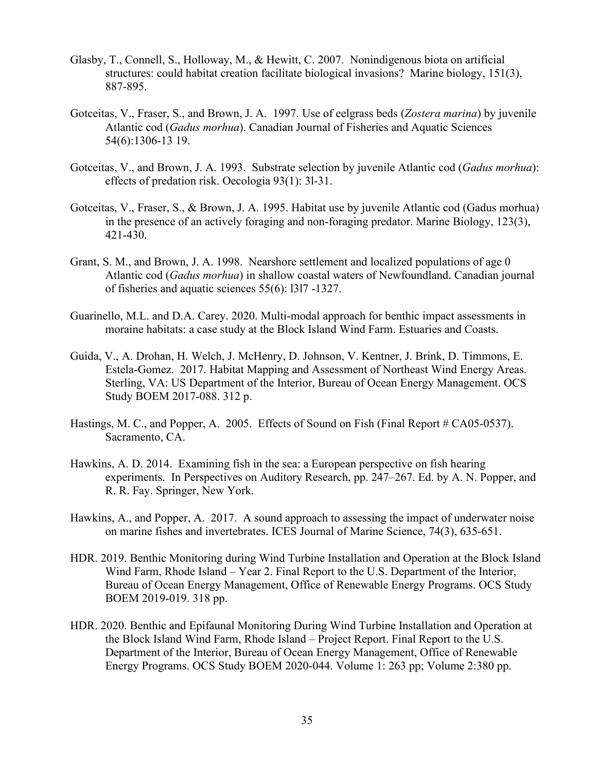- Glasby, T., Connell, S., Holloway, M., & Hewitt, C. 2007. Nonindigenous biota on artificial structures: could habitat creation facilitate biological invasions? Marine biology, 151(3), 887-895.
- Gotceitas, V., Fraser, S., and Brown, J. A. 1997. Use of eelgrass beds (*Zostera marina*) by juvenile Atlantic cod (*Gadus morhua*). Canadian Journal of Fisheries and Aquatic Sciences 54(6):1306-13 19.
- Gotceitas, V., and Brown, J. A. 1993. Substrate selection by juvenile Atlantic cod (*Gadus morhua*): effects of predation risk. Oecologia 93(1): 3l-31.
- Gotceitas, V., Fraser, S., & Brown, J. A. 1995. Habitat use by juvenile Atlantic cod (Gadus morhua) in the presence of an actively foraging and non-foraging predator. Marine Biology, 123(3), 421-430.
- Grant, S. M., and Brown, J. A. 1998. Nearshore settlement and localized populations of age 0 Atlantic cod (*Gadus morhua*) in shallow coastal waters of Newfoundland. Canadian journal of fisheries and aquatic sciences 55(6): l3l7 -1327.
- Guarinello, M.L. and D.A. Carey. 2020. Multi-modal approach for benthic impact assessments in moraine habitats: a case study at the Block Island Wind Farm. Estuaries and Coasts.
- Guida, V., A. Drohan, H. Welch, J. McHenry, D. Johnson, V. Kentner, J. Brink, D. Timmons, E. Estela-Gomez. 2017. Habitat Mapping and Assessment of Northeast Wind Energy Areas. Sterling, VA: US Department of the Interior, Bureau of Ocean Energy Management. OCS Study BOEM 2017-088. 312 p.
- Hastings, M. C., and Popper, A. 2005. Effects of Sound on Fish (Final Report # CA05-0537). Sacramento, CA.
- Hawkins, A. D. 2014. Examining fish in the sea: a European perspective on fish hearing experiments. In Perspectives on Auditory Research, pp. 247–267. Ed. by A. N. Popper, and R. R. Fay. Springer, New York.
- Hawkins, A., and Popper, A. 2017. A sound approach to assessing the impact of underwater noise on marine fishes and invertebrates. ICES Journal of Marine Science, 74(3), 635-651.
- HDR. 2019. Benthic Monitoring during Wind Turbine Installation and Operation at the Block Island Wind Farm, Rhode Island – Year 2. Final Report to the U.S. Department of the Interior, Bureau of Ocean Energy Management, Office of Renewable Energy Programs. OCS Study BOEM 2019-019. 318 pp.
- HDR. 2020. Benthic and Epifaunal Monitoring During Wind Turbine Installation and Operation at the Block Island Wind Farm, Rhode Island – Project Report. Final Report to the U.S. Department of the Interior, Bureau of Ocean Energy Management, Office of Renewable Energy Programs. OCS Study BOEM 2020-044. Volume 1: 263 pp; Volume 2:380 pp.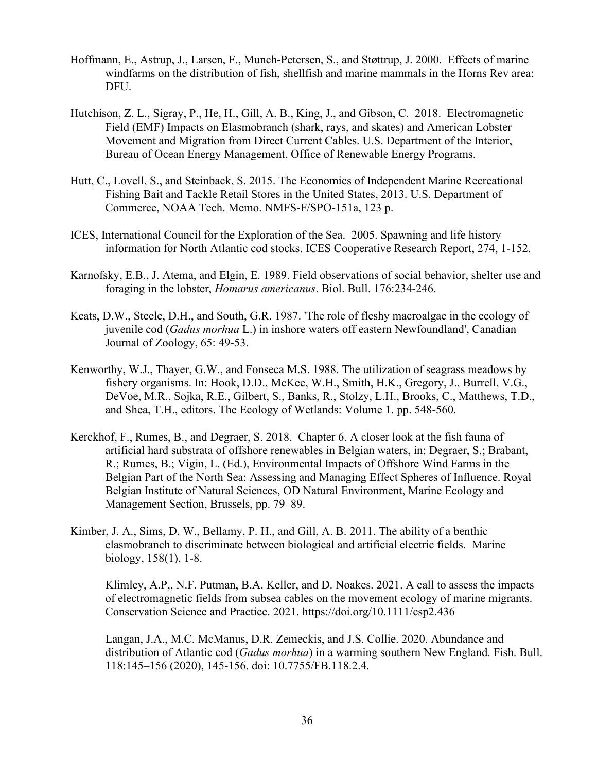- Hoffmann, E., Astrup, J., Larsen, F., Munch-Petersen, S., and Støttrup, J. 2000. Effects of marine windfarms on the distribution of fish, shellfish and marine mammals in the Horns Rev area: DFU.
- Hutchison, Z. L., Sigray, P., He, H., Gill, A. B., King, J., and Gibson, C. 2018. Electromagnetic Field (EMF) Impacts on Elasmobranch (shark, rays, and skates) and American Lobster Movement and Migration from Direct Current Cables. U.S. Department of the Interior, Bureau of Ocean Energy Management, Office of Renewable Energy Programs.
- Hutt, C., Lovell, S., and Steinback, S. 2015. The Economics of Independent Marine Recreational Fishing Bait and Tackle Retail Stores in the United States, 2013. U.S. Department of Commerce, NOAA Tech. Memo. NMFS-F/SPO-151a, 123 p.
- ICES, International Council for the Exploration of the Sea. 2005. Spawning and life history information for North Atlantic cod stocks. ICES Cooperative Research Report, 274, 1-152.
- Karnofsky, E.B., J. Atema, and Elgin, E. 1989. Field observations of social behavior, shelter use and foraging in the lobster, *Homarus americanus*. Biol. Bull. 176:234-246.
- Keats, D.W., Steele, D.H., and South, G.R. 1987. 'The role of fleshy macroalgae in the ecology of juvenile cod (*Gadus morhua* L.) in inshore waters off eastern Newfoundland', Canadian Journal of Zoology, 65: 49-53.
- Kenworthy, W.J., Thayer, G.W., and Fonseca M.S. 1988. The utilization of seagrass meadows by fishery organisms. In: Hook, D.D., McKee, W.H., Smith, H.K., Gregory, J., Burrell, V.G., DeVoe, M.R., Sojka, R.E., Gilbert, S., Banks, R., Stolzy, L.H., Brooks, C., Matthews, T.D., and Shea, T.H., editors. The Ecology of Wetlands: Volume 1. pp. 548-560.
- Kerckhof, F., Rumes, B., and Degraer, S. 2018. Chapter 6. A closer look at the fish fauna of artificial hard substrata of offshore renewables in Belgian waters, in: Degraer, S.; Brabant, R.; Rumes, B.; Vigin, L. (Ed.), Environmental Impacts of Offshore Wind Farms in the Belgian Part of the North Sea: Assessing and Managing Effect Spheres of Influence. Royal Belgian Institute of Natural Sciences, OD Natural Environment, Marine Ecology and Management Section, Brussels, pp. 79–89.
- Kimber, J. A., Sims, D. W., Bellamy, P. H., and Gill, A. B. 2011. The ability of a benthic elasmobranch to discriminate between biological and artificial electric fields. Marine biology, 158(1), 1-8.

Klimley, A.P,, N.F. Putman, B.A. Keller, and D. Noakes. 2021. A call to assess the impacts of electromagnetic fields from subsea cables on the movement ecology of marine migrants. Conservation Science and Practice. 2021. https://doi.org/10.1111/csp2.436

Langan, J.A., M.C. McManus, D.R. Zemeckis, and J.S. Collie. 2020. Abundance and distribution of Atlantic cod (*Gadus morhua*) in a warming southern New England. Fish. Bull. 118:145–156 (2020), 145-156. doi: 10.7755/FB.118.2.4.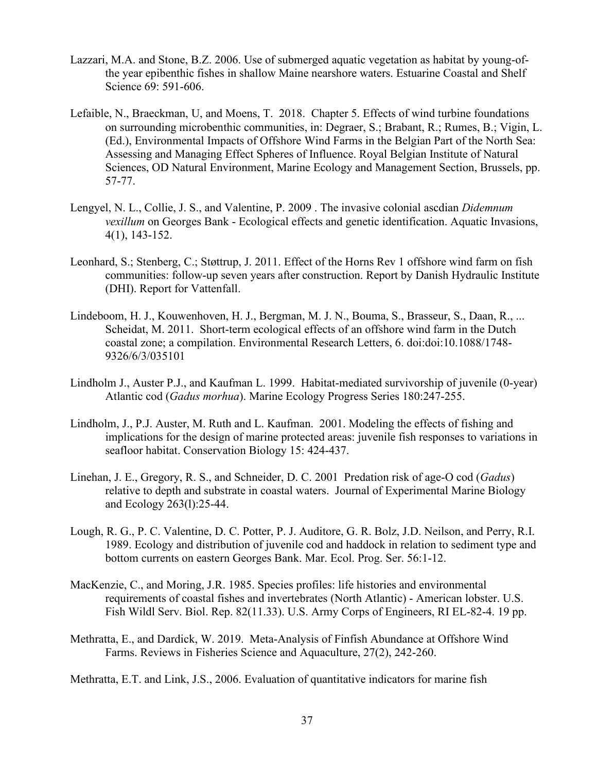- Lazzari, M.A. and Stone, B.Z. 2006. Use of submerged aquatic vegetation as habitat by young-ofthe year epibenthic fishes in shallow Maine nearshore waters. Estuarine Coastal and Shelf Science 69: 591-606.
- Lefaible, N., Braeckman, U, and Moens, T. 2018. Chapter 5. Effects of wind turbine foundations on surrounding microbenthic communities, in: Degraer, S.; Brabant, R.; Rumes, B.; Vigin, L. (Ed.), Environmental Impacts of Offshore Wind Farms in the Belgian Part of the North Sea: Assessing and Managing Effect Spheres of Influence. Royal Belgian Institute of Natural Sciences, OD Natural Environment, Marine Ecology and Management Section, Brussels, pp. 57-77.
- Lengyel, N. L., Collie, J. S., and Valentine, P. 2009 . The invasive colonial ascdian *Didemnum vexillum* on Georges Bank - Ecological effects and genetic identification. Aquatic Invasions, 4(1), 143-152.
- Leonhard, S.; Stenberg, C.; Støttrup, J. 2011. Effect of the Horns Rev 1 offshore wind farm on fish communities: follow-up seven years after construction. Report by Danish Hydraulic Institute (DHI). Report for Vattenfall.
- Lindeboom, H. J., Kouwenhoven, H. J., Bergman, M. J. N., Bouma, S., Brasseur, S., Daan, R., ... Scheidat, M. 2011. Short-term ecological effects of an offshore wind farm in the Dutch coastal zone; a compilation. Environmental Research Letters, 6. doi:doi:10.1088/1748- 9326/6/3/035101
- Lindholm J., Auster P.J., and Kaufman L. 1999. Habitat-mediated survivorship of juvenile (0-year) Atlantic cod (*Gadus morhua*). Marine Ecology Progress Series 180:247-255.
- Lindholm, J., P.J. Auster, M. Ruth and L. Kaufman. 2001. Modeling the effects of fishing and implications for the design of marine protected areas: juvenile fish responses to variations in seafloor habitat. Conservation Biology 15: 424-437.
- Linehan, J. E., Gregory, R. S., and Schneider, D. C. 2001 Predation risk of age-O cod (*Gadus*) relative to depth and substrate in coastal waters. Journal of Experimental Marine Biology and Ecology 263(l):25-44.
- Lough, R. G., P. C. Valentine, D. C. Potter, P. J. Auditore, G. R. Bolz, J.D. Neilson, and Perry, R.I. 1989. Ecology and distribution of juvenile cod and haddock in relation to sediment type and bottom currents on eastern Georges Bank. Mar. Ecol. Prog. Ser. 56:1-12.
- MacKenzie, C., and Moring, J.R. 1985. Species profiles: life histories and environmental requirements of coastal fishes and invertebrates (North Atlantic) - American lobster. U.S. Fish Wildl Serv. Biol. Rep. 82(11.33). U.S. Army Corps of Engineers, RI EL-82-4. 19 pp.
- Methratta, E., and Dardick, W. 2019. Meta-Analysis of Finfish Abundance at Offshore Wind Farms. Reviews in Fisheries Science and Aquaculture, 27(2), 242-260.
- Methratta, E.T. and Link, J.S., 2006. Evaluation of quantitative indicators for marine fish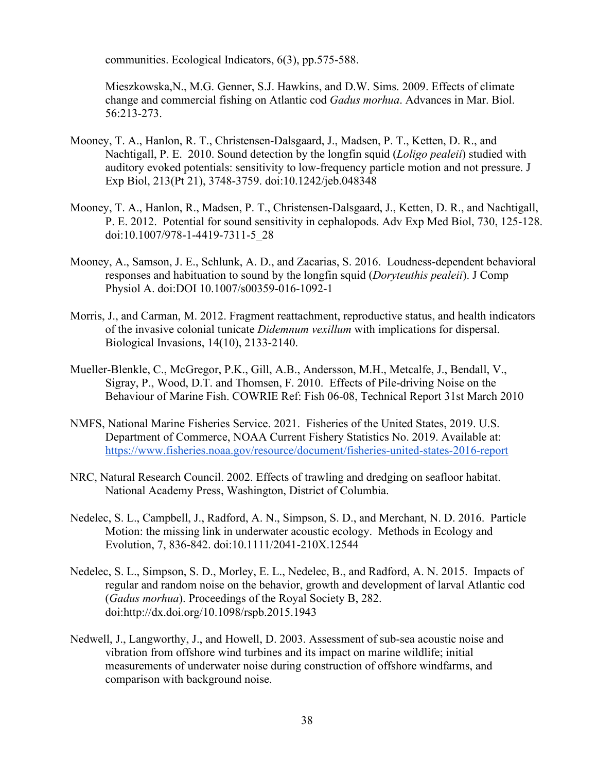communities. Ecological Indicators, 6(3), pp.575-588.

Mieszkowska,N., M.G. Genner, S.J. Hawkins, and D.W. Sims. 2009. Effects of climate change and commercial fishing on Atlantic cod *Gadus morhua*. Advances in Mar. Biol. 56:213-273.

- Mooney, T. A., Hanlon, R. T., Christensen-Dalsgaard, J., Madsen, P. T., Ketten, D. R., and Nachtigall, P. E. 2010. Sound detection by the longfin squid (*Loligo pealeii*) studied with auditory evoked potentials: sensitivity to low-frequency particle motion and not pressure. J Exp Biol, 213(Pt 21), 3748-3759. doi:10.1242/jeb.048348
- Mooney, T. A., Hanlon, R., Madsen, P. T., Christensen-Dalsgaard, J., Ketten, D. R., and Nachtigall, P. E. 2012. Potential for sound sensitivity in cephalopods. Adv Exp Med Biol, 730, 125-128. doi:10.1007/978-1-4419-7311-5\_28
- Mooney, A., Samson, J. E., Schlunk, A. D., and Zacarias, S. 2016. Loudness-dependent behavioral responses and habituation to sound by the longfin squid (*Doryteuthis pealeii*). J Comp Physiol A. doi:DOI 10.1007/s00359-016-1092-1
- Morris, J., and Carman, M. 2012. Fragment reattachment, reproductive status, and health indicators of the invasive colonial tunicate *Didemnum vexillum* with implications for dispersal. Biological Invasions, 14(10), 2133-2140.
- Mueller-Blenkle, C., McGregor, P.K., Gill, A.B., Andersson, M.H., Metcalfe, J., Bendall, V., Sigray, P., Wood, D.T. and Thomsen, F. 2010. Effects of Pile-driving Noise on the Behaviour of Marine Fish. COWRIE Ref: Fish 06-08, Technical Report 31st March 2010
- NMFS, National Marine Fisheries Service. 2021. Fisheries of the United States, 2019. U.S. Department of Commerce, NOAA Current Fishery Statistics No. 2019. Available at: <https://www.fisheries.noaa.gov/resource/document/fisheries-united-states-2016-report>
- NRC, Natural Research Council. 2002. Effects of trawling and dredging on seafloor habitat. National Academy Press, Washington, District of Columbia.
- Nedelec, S. L., Campbell, J., Radford, A. N., Simpson, S. D., and Merchant, N. D. 2016. Particle Motion: the missing link in underwater acoustic ecology. Methods in Ecology and Evolution, 7, 836-842. doi:10.1111/2041-210X.12544
- Nedelec, S. L., Simpson, S. D., Morley, E. L., Nedelec, B., and Radford, A. N. 2015. Impacts of regular and random noise on the behavior, growth and development of larval Atlantic cod (*Gadus morhua*). Proceedings of the Royal Society B, 282. doi:http://dx.doi.org/10.1098/rspb.2015.1943
- Nedwell, J., Langworthy, J., and Howell, D. 2003. Assessment of sub-sea acoustic noise and vibration from offshore wind turbines and its impact on marine wildlife; initial measurements of underwater noise during construction of offshore windfarms, and comparison with background noise.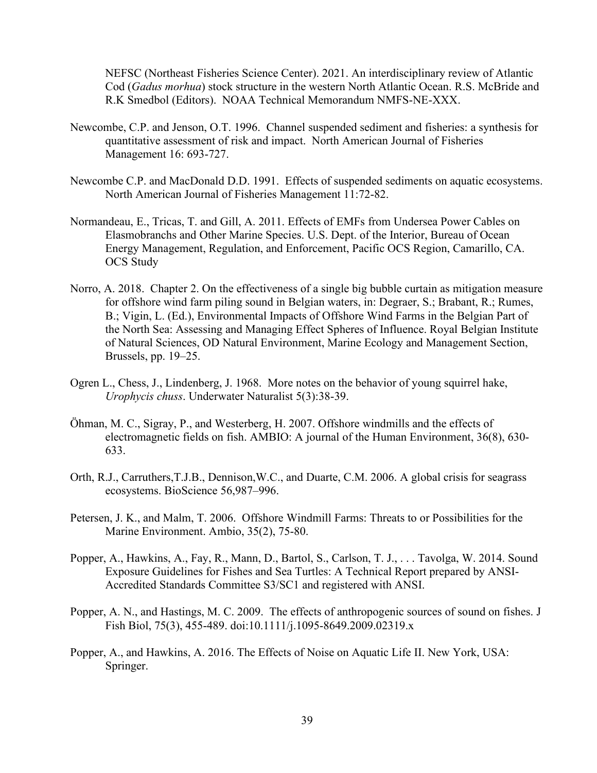NEFSC (Northeast Fisheries Science Center). 2021. An interdisciplinary review of Atlantic Cod (*Gadus morhua*) stock structure in the western North Atlantic Ocean. R.S. McBride and R.K Smedbol (Editors). NOAA Technical Memorandum NMFS-NE-XXX.

- Newcombe, C.P. and Jenson, O.T. 1996. Channel suspended sediment and fisheries: a synthesis for quantitative assessment of risk and impact. North American Journal of Fisheries Management 16: 693-727.
- Newcombe C.P. and MacDonald D.D. 1991. Effects of suspended sediments on aquatic ecosystems. North American Journal of Fisheries Management 11:72-82.
- Normandeau, E., Tricas, T. and Gill, A. 2011. Effects of EMFs from Undersea Power Cables on Elasmobranchs and Other Marine Species. U.S. Dept. of the Interior, Bureau of Ocean Energy Management, Regulation, and Enforcement, Pacific OCS Region, Camarillo, CA. OCS Study
- Norro, A. 2018. Chapter 2. On the effectiveness of a single big bubble curtain as mitigation measure for offshore wind farm piling sound in Belgian waters, in: Degraer, S.; Brabant, R.; Rumes, B.; Vigin, L. (Ed.), Environmental Impacts of Offshore Wind Farms in the Belgian Part of the North Sea: Assessing and Managing Effect Spheres of Influence. Royal Belgian Institute of Natural Sciences, OD Natural Environment, Marine Ecology and Management Section, Brussels, pp. 19–25.
- Ogren L., Chess, J., Lindenberg, J. 1968. More notes on the behavior of young squirrel hake, *Urophycis chuss*. Underwater Naturalist 5(3):38-39.
- Öhman, M. C., Sigray, P., and Westerberg, H. 2007. Offshore windmills and the effects of electromagnetic fields on fish. AMBIO: A journal of the Human Environment, 36(8), 630- 633.
- Orth, R.J., Carruthers,T.J.B., Dennison,W.C., and Duarte, C.M. 2006. A global crisis for seagrass ecosystems. BioScience 56,987–996.
- Petersen, J. K., and Malm, T. 2006. Offshore Windmill Farms: Threats to or Possibilities for the Marine Environment. Ambio, 35(2), 75-80.
- Popper, A., Hawkins, A., Fay, R., Mann, D., Bartol, S., Carlson, T. J., . . . Tavolga, W. 2014. Sound Exposure Guidelines for Fishes and Sea Turtles: A Technical Report prepared by ANSI-Accredited Standards Committee S3/SC1 and registered with ANSI.
- Popper, A. N., and Hastings, M. C. 2009. The effects of anthropogenic sources of sound on fishes. J Fish Biol, 75(3), 455-489. doi:10.1111/j.1095-8649.2009.02319.x
- Popper, A., and Hawkins, A. 2016. The Effects of Noise on Aquatic Life II. New York, USA: Springer.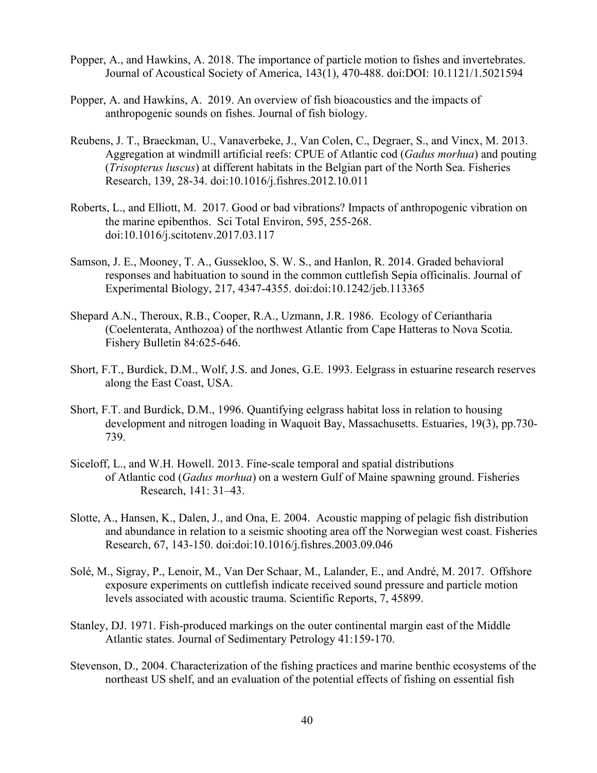- Popper, A., and Hawkins, A. 2018. The importance of particle motion to fishes and invertebrates. Journal of Acoustical Society of America, 143(1), 470-488. doi:DOI: 10.1121/1.5021594
- Popper, A. and Hawkins, A. 2019. An overview of fish bioacoustics and the impacts of anthropogenic sounds on fishes. Journal of fish biology.
- Reubens, J. T., Braeckman, U., Vanaverbeke, J., Van Colen, C., Degraer, S., and Vincx, M. 2013. Aggregation at windmill artificial reefs: CPUE of Atlantic cod (*Gadus morhua*) and pouting (*Trisopterus luscus*) at different habitats in the Belgian part of the North Sea. Fisheries Research, 139, 28-34. doi:10.1016/j.fishres.2012.10.011
- Roberts, L., and Elliott, M. 2017. Good or bad vibrations? Impacts of anthropogenic vibration on the marine epibenthos. Sci Total Environ, 595, 255-268. doi:10.1016/j.scitotenv.2017.03.117
- Samson, J. E., Mooney, T. A., Gussekloo, S. W. S., and Hanlon, R. 2014. Graded behavioral responses and habituation to sound in the common cuttlefish Sepia officinalis. Journal of Experimental Biology, 217, 4347-4355. doi:doi:10.1242/jeb.113365
- Shepard A.N., Theroux, R.B., Cooper, R.A., Uzmann, J.R. 1986. Ecology of Ceriantharia (Coelenterata, Anthozoa) of the northwest Atlantic from Cape Hatteras to Nova Scotia. Fishery Bulletin 84:625-646.
- Short, F.T., Burdick, D.M., Wolf, J.S. and Jones, G.E. 1993. Eelgrass in estuarine research reserves along the East Coast, USA.
- Short, F.T. and Burdick, D.M., 1996. Quantifying eelgrass habitat loss in relation to housing development and nitrogen loading in Waquoit Bay, Massachusetts. Estuaries, 19(3), pp.730- 739.
- Siceloff, L., and W.H. Howell. 2013. Fine-scale temporal and spatial distributions of Atlantic cod (*Gadus morhua*) on a western Gulf of Maine spawning ground. Fisheries Research, 141: 31–43.
- Slotte, A., Hansen, K., Dalen, J., and Ona, E. 2004. Acoustic mapping of pelagic fish distribution and abundance in relation to a seismic shooting area off the Norwegian west coast. Fisheries Research, 67, 143-150. doi:doi:10.1016/j.fishres.2003.09.046
- Solé, M., Sigray, P., Lenoir, M., Van Der Schaar, M., Lalander, E., and André, M. 2017. Offshore exposure experiments on cuttlefish indicate received sound pressure and particle motion levels associated with acoustic trauma. Scientific Reports, 7, 45899.
- Stanley, DJ. 1971. Fish-produced markings on the outer continental margin east of the Middle Atlantic states. Journal of Sedimentary Petrology 41:159-170.
- Stevenson, D., 2004. Characterization of the fishing practices and marine benthic ecosystems of the northeast US shelf, and an evaluation of the potential effects of fishing on essential fish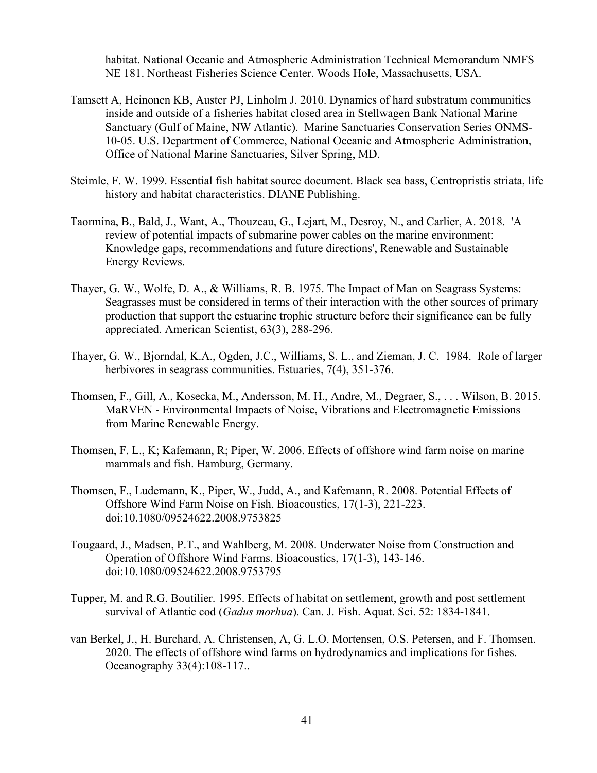habitat. National Oceanic and Atmospheric Administration Technical Memorandum NMFS NE 181. Northeast Fisheries Science Center. Woods Hole, Massachusetts, USA.

- Tamsett A, Heinonen KB, Auster PJ, Linholm J. 2010. Dynamics of hard substratum communities inside and outside of a fisheries habitat closed area in Stellwagen Bank National Marine Sanctuary (Gulf of Maine, NW Atlantic). Marine Sanctuaries Conservation Series ONMS-10-05. U.S. Department of Commerce, National Oceanic and Atmospheric Administration, Office of National Marine Sanctuaries, Silver Spring, MD.
- Steimle, F. W. 1999. Essential fish habitat source document. Black sea bass, Centropristis striata, life history and habitat characteristics. DIANE Publishing.
- Taormina, B., Bald, J., Want, A., Thouzeau, G., Lejart, M., Desroy, N., and Carlier, A. 2018. 'A review of potential impacts of submarine power cables on the marine environment: Knowledge gaps, recommendations and future directions', Renewable and Sustainable Energy Reviews.
- Thayer, G. W., Wolfe, D. A., & Williams, R. B. 1975. The Impact of Man on Seagrass Systems: Seagrasses must be considered in terms of their interaction with the other sources of primary production that support the estuarine trophic structure before their significance can be fully appreciated. American Scientist, 63(3), 288-296.
- Thayer, G. W., Bjorndal, K.A., Ogden, J.C., Williams, S. L., and Zieman, J. C. 1984. Role of larger herbivores in seagrass communities. Estuaries, 7(4), 351-376.
- Thomsen, F., Gill, A., Kosecka, M., Andersson, M. H., Andre, M., Degraer, S., . . . Wilson, B. 2015. MaRVEN - Environmental Impacts of Noise, Vibrations and Electromagnetic Emissions from Marine Renewable Energy.
- Thomsen, F. L., K; Kafemann, R; Piper, W. 2006. Effects of offshore wind farm noise on marine mammals and fish. Hamburg, Germany.
- Thomsen, F., Ludemann, K., Piper, W., Judd, A., and Kafemann, R. 2008. Potential Effects of Offshore Wind Farm Noise on Fish. Bioacoustics, 17(1-3), 221-223. doi:10.1080/09524622.2008.9753825
- Tougaard, J., Madsen, P.T., and Wahlberg, M. 2008. Underwater Noise from Construction and Operation of Offshore Wind Farms. Bioacoustics, 17(1-3), 143-146. doi:10.1080/09524622.2008.9753795
- Tupper, M. and R.G. Boutilier. 1995. Effects of habitat on settlement, growth and post settlement survival of Atlantic cod (*Gadus morhua*). Can. J. Fish. Aquat. Sci. 52: 1834-1841.
- van Berkel, J., H. Burchard, A. Christensen, A, G. L.O. Mortensen, O.S. Petersen, and F. Thomsen. 2020. The effects of offshore wind farms on hydrodynamics and implications for fishes. Oceanography 33(4):108-117..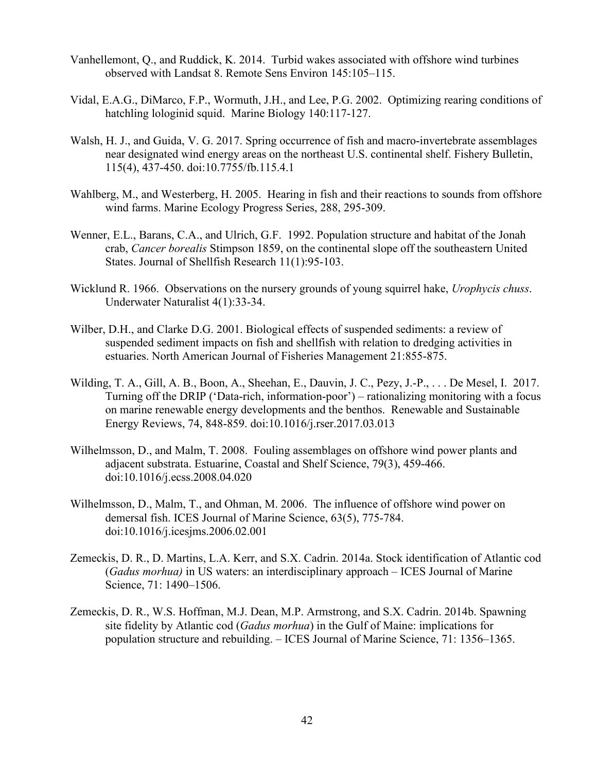- Vanhellemont, Q., and Ruddick, K. 2014. Turbid wakes associated with offshore wind turbines observed with Landsat 8. Remote Sens Environ 145:105–115.
- Vidal, E.A.G., DiMarco, F.P., Wormuth, J.H., and Lee, P.G. 2002. Optimizing rearing conditions of hatchling lologinid squid. Marine Biology 140:117-127.
- Walsh, H. J., and Guida, V. G. 2017. Spring occurrence of fish and macro-invertebrate assemblages near designated wind energy areas on the northeast U.S. continental shelf. Fishery Bulletin, 115(4), 437-450. doi:10.7755/fb.115.4.1
- Wahlberg, M., and Westerberg, H. 2005. Hearing in fish and their reactions to sounds from offshore wind farms. Marine Ecology Progress Series, 288, 295-309.
- Wenner, E.L., Barans, C.A., and Ulrich, G.F. 1992. Population structure and habitat of the Jonah crab, *Cancer borealis* Stimpson 1859, on the continental slope off the southeastern United States. Journal of Shellfish Research 11(1):95-103.
- Wicklund R. 1966. Observations on the nursery grounds of young squirrel hake, *Urophycis chuss*. Underwater Naturalist 4(1):33-34.
- Wilber, D.H., and Clarke D.G. 2001. Biological effects of suspended sediments: a review of suspended sediment impacts on fish and shellfish with relation to dredging activities in estuaries. North American Journal of Fisheries Management 21:855-875.
- Wilding, T. A., Gill, A. B., Boon, A., Sheehan, E., Dauvin, J. C., Pezy, J.-P., . . . De Mesel, I. 2017. Turning off the DRIP ('Data-rich, information-poor') – rationalizing monitoring with a focus on marine renewable energy developments and the benthos. Renewable and Sustainable Energy Reviews, 74, 848-859. doi:10.1016/j.rser.2017.03.013
- Wilhelmsson, D., and Malm, T. 2008. Fouling assemblages on offshore wind power plants and adjacent substrata. Estuarine, Coastal and Shelf Science, 79(3), 459-466. doi:10.1016/j.ecss.2008.04.020
- Wilhelmsson, D., Malm, T., and Ohman, M. 2006. The influence of offshore wind power on demersal fish. ICES Journal of Marine Science, 63(5), 775-784. doi:10.1016/j.icesjms.2006.02.001
- Zemeckis, D. R., D. Martins, L.A. Kerr, and S.X. Cadrin. 2014a. Stock identification of Atlantic cod (*Gadus morhua)* in US waters: an interdisciplinary approach – ICES Journal of Marine Science, 71: 1490–1506.
- Zemeckis, D. R., W.S. Hoffman, M.J. Dean, M.P. Armstrong, and S.X. Cadrin. 2014b. Spawning site fidelity by Atlantic cod (*Gadus morhua*) in the Gulf of Maine: implications for population structure and rebuilding. – ICES Journal of Marine Science, 71: 1356–1365.